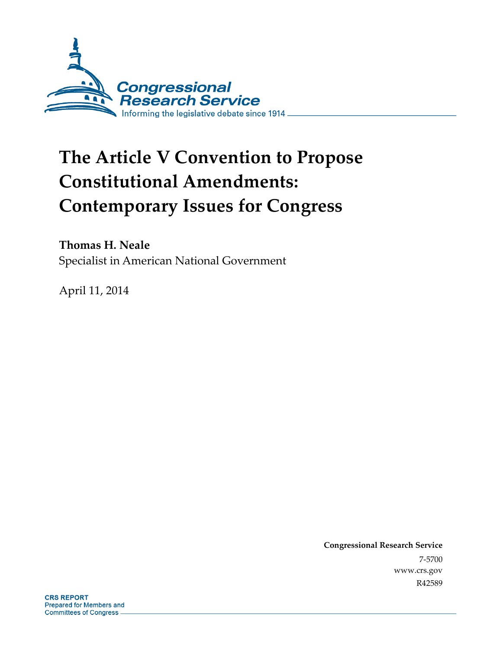

# **The Article V Convention to Propose Constitutional Amendments: Contemporary Issues for Congress**

**Thomas H. Neale** 

Specialist in American National Government

April 11, 2014

**Congressional Research Service**  7-5700 www.crs.gov R42589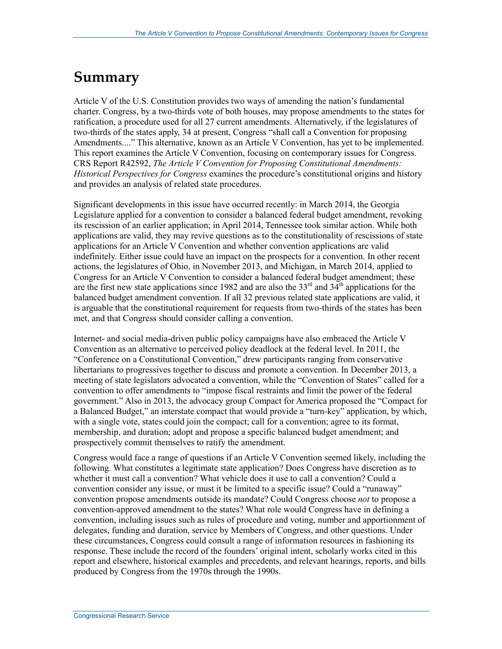## **Summary**

Article V of the U.S. Constitution provides two ways of amending the nation's fundamental charter. Congress, by a two-thirds vote of both houses, may propose amendments to the states for ratification, a procedure used for all 27 current amendments. Alternatively, if the legislatures of two-thirds of the states apply, 34 at present, Congress "shall call a Convention for proposing Amendments...." This alternative, known as an Article V Convention, has yet to be implemented. This report examines the Article V Convention, focusing on contemporary issues for Congress. CRS Report R42592, *The Article V Convention for Proposing Constitutional Amendments: Historical Perspectives for Congress* examines the procedure's constitutional origins and history and provides an analysis of related state procedures.

Significant developments in this issue have occurred recently: in March 2014, the Georgia Legislature applied for a convention to consider a balanced federal budget amendment, revoking its rescission of an earlier application; in April 2014, Tennessee took similar action. While both applications are valid, they may revive questions as to the constitutionality of rescissions of state applications for an Article V Convention and whether convention applications are valid indefinitely. Either issue could have an impact on the prospects for a convention. In other recent actions, the legislatures of Ohio, in November 2013, and Michigan, in March 2014, applied to Congress for an Article V Convention to consider a balanced federal budget amendment; these are the first new state applications since 1982 and are also the  $33<sup>rd</sup>$  and  $34<sup>th</sup>$  applications for the balanced budget amendment convention. If all 32 previous related state applications are valid, it is arguable that the constitutional requirement for requests from two-thirds of the states has been met, and that Congress should consider calling a convention.

Internet- and social media-driven public policy campaigns have also embraced the Article V Convention as an alternative to perceived policy deadlock at the federal level. In 2011, the "Conference on a Constitutional Convention," drew participants ranging from conservative libertarians to progressives together to discuss and promote a convention. In December 2013, a meeting of state legislators advocated a convention, while the "Convention of States" called for a convention to offer amendments to "impose fiscal restraints and limit the power of the federal government." Also in 2013, the advocacy group Compact for America proposed the "Compact for a Balanced Budget," an interstate compact that would provide a "turn-key" application, by which, with a single vote, states could join the compact; call for a convention; agree to its format, membership, and duration; adopt and propose a specific balanced budget amendment; and prospectively commit themselves to ratify the amendment.

Congress would face a range of questions if an Article V Convention seemed likely, including the following. What constitutes a legitimate state application? Does Congress have discretion as to whether it must call a convention? What vehicle does it use to call a convention? Could a convention consider any issue, or must it be limited to a specific issue? Could a "runaway" convention propose amendments outside its mandate? Could Congress choose *not* to propose a convention-approved amendment to the states? What role would Congress have in defining a convention, including issues such as rules of procedure and voting, number and apportionment of delegates, funding and duration, service by Members of Congress, and other questions. Under these circumstances, Congress could consult a range of information resources in fashioning its response. These include the record of the founders' original intent, scholarly works cited in this report and elsewhere, historical examples and precedents, and relevant hearings, reports, and bills produced by Congress from the 1970s through the 1990s.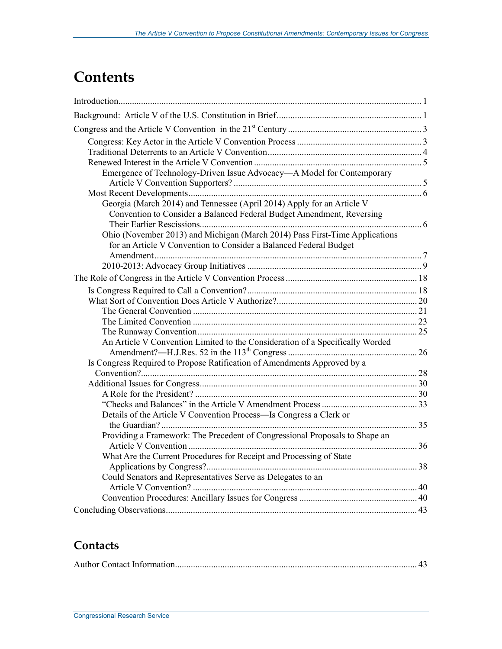## **Contents**

| Emergence of Technology-Driven Issue Advocacy-A Model for Contemporary                                                                           |  |
|--------------------------------------------------------------------------------------------------------------------------------------------------|--|
|                                                                                                                                                  |  |
| Georgia (March 2014) and Tennessee (April 2014) Apply for an Article V                                                                           |  |
| Convention to Consider a Balanced Federal Budget Amendment, Reversing                                                                            |  |
|                                                                                                                                                  |  |
| Ohio (November 2013) and Michigan (March 2014) Pass First-Time Applications<br>for an Article V Convention to Consider a Balanced Federal Budget |  |
|                                                                                                                                                  |  |
|                                                                                                                                                  |  |
|                                                                                                                                                  |  |
|                                                                                                                                                  |  |
|                                                                                                                                                  |  |
|                                                                                                                                                  |  |
|                                                                                                                                                  |  |
|                                                                                                                                                  |  |
| An Article V Convention Limited to the Consideration of a Specifically Worded                                                                    |  |
| Is Congress Required to Propose Ratification of Amendments Approved by a                                                                         |  |
|                                                                                                                                                  |  |
|                                                                                                                                                  |  |
|                                                                                                                                                  |  |
|                                                                                                                                                  |  |
| Details of the Article V Convention Process—Is Congress a Clerk or                                                                               |  |
|                                                                                                                                                  |  |
| Providing a Framework: The Precedent of Congressional Proposals to Shape an                                                                      |  |
|                                                                                                                                                  |  |
| What Are the Current Procedures for Receipt and Processing of State                                                                              |  |
|                                                                                                                                                  |  |
| Could Senators and Representatives Serve as Delegates to an                                                                                      |  |
|                                                                                                                                                  |  |
|                                                                                                                                                  |  |
|                                                                                                                                                  |  |

### **Contacts**

|--|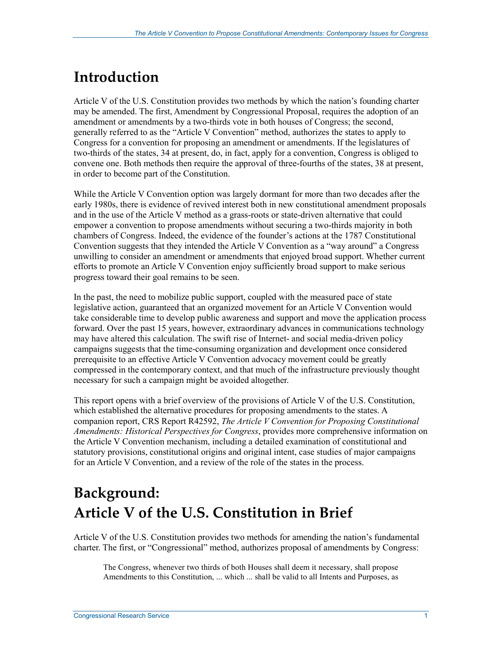## **Introduction**

Article V of the U.S. Constitution provides two methods by which the nation's founding charter may be amended. The first, Amendment by Congressional Proposal, requires the adoption of an amendment or amendments by a two-thirds vote in both houses of Congress; the second, generally referred to as the "Article V Convention" method, authorizes the states to apply to Congress for a convention for proposing an amendment or amendments. If the legislatures of two-thirds of the states, 34 at present, do, in fact, apply for a convention, Congress is obliged to convene one. Both methods then require the approval of three-fourths of the states, 38 at present, in order to become part of the Constitution.

While the Article V Convention option was largely dormant for more than two decades after the early 1980s, there is evidence of revived interest both in new constitutional amendment proposals and in the use of the Article V method as a grass-roots or state-driven alternative that could empower a convention to propose amendments without securing a two-thirds majority in both chambers of Congress. Indeed, the evidence of the founder's actions at the 1787 Constitutional Convention suggests that they intended the Article V Convention as a "way around" a Congress unwilling to consider an amendment or amendments that enjoyed broad support. Whether current efforts to promote an Article V Convention enjoy sufficiently broad support to make serious progress toward their goal remains to be seen.

In the past, the need to mobilize public support, coupled with the measured pace of state legislative action, guaranteed that an organized movement for an Article V Convention would take considerable time to develop public awareness and support and move the application process forward. Over the past 15 years, however, extraordinary advances in communications technology may have altered this calculation. The swift rise of Internet- and social media-driven policy campaigns suggests that the time-consuming organization and development once considered prerequisite to an effective Article V Convention advocacy movement could be greatly compressed in the contemporary context, and that much of the infrastructure previously thought necessary for such a campaign might be avoided altogether.

This report opens with a brief overview of the provisions of Article V of the U.S. Constitution, which established the alternative procedures for proposing amendments to the states. A companion report, CRS Report R42592, *The Article V Convention for Proposing Constitutional Amendments: Historical Perspectives for Congress*, provides more comprehensive information on the Article V Convention mechanism, including a detailed examination of constitutional and statutory provisions, constitutional origins and original intent, case studies of major campaigns for an Article V Convention, and a review of the role of the states in the process.

## **Background: Article V of the U.S. Constitution in Brief**

Article V of the U.S. Constitution provides two methods for amending the nation's fundamental charter. The first, or "Congressional" method, authorizes proposal of amendments by Congress:

The Congress, whenever two thirds of both Houses shall deem it necessary, shall propose Amendments to this Constitution, ... which ... shall be valid to all Intents and Purposes, as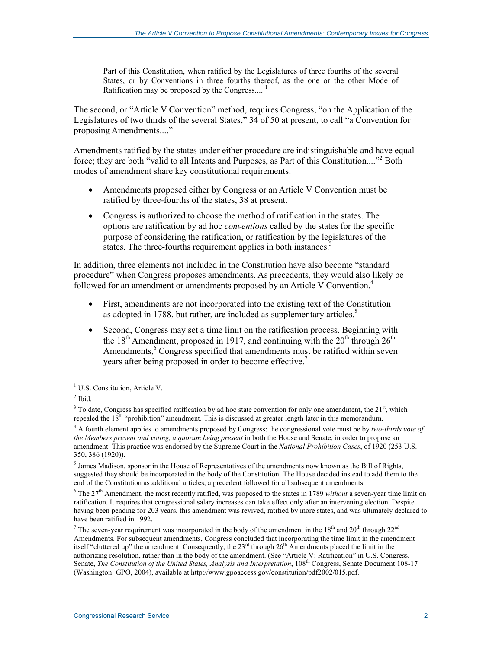Part of this Constitution, when ratified by the Legislatures of three fourths of the several States, or by Conventions in three fourths thereof, as the one or the other Mode of Ratification may be proposed by the Congress....<sup>1</sup>

The second, or "Article V Convention" method, requires Congress, "on the Application of the Legislatures of two thirds of the several States," 34 of 50 at present, to call "a Convention for proposing Amendments...."

Amendments ratified by the states under either procedure are indistinguishable and have equal force; they are both "valid to all Intents and Purposes, as Part of this Constitution...."<sup>2</sup> Both modes of amendment share key constitutional requirements:

- Amendments proposed either by Congress or an Article V Convention must be ratified by three-fourths of the states, 38 at present.
- Congress is authorized to choose the method of ratification in the states. The options are ratification by ad hoc *conventions* called by the states for the specific purpose of considering the ratification, or ratification by the legislatures of the states. The three-fourths requirement applies in both instances.

In addition, three elements not included in the Constitution have also become "standard procedure" when Congress proposes amendments. As precedents, they would also likely be followed for an amendment or amendments proposed by an Article V Convention.<sup>4</sup>

- First, amendments are not incorporated into the existing text of the Constitution as adopted in 1788, but rather, are included as supplementary articles.<sup>5</sup>
- Second, Congress may set a time limit on the ratification process. Beginning with the  $18<sup>th</sup>$  Amendment, proposed in 1917, and continuing with the  $20<sup>th</sup>$  through  $26<sup>th</sup>$ Amendments,<sup>6</sup> Congress specified that amendments must be ratified within seven years after being proposed in order to become effective.<sup>7</sup>

<sup>5</sup> James Madison, sponsor in the House of Representatives of the amendments now known as the Bill of Rights, suggested they should be incorporated in the body of the Constitution. The House decided instead to add them to the end of the Constitution as additional articles, a precedent followed for all subsequent amendments.

 $6$  The  $27<sup>th</sup>$  Amendment, the most recently ratified, was proposed to the states in 1789 *without* a seven-year time limit on ratification. It requires that congressional salary increases can take effect only after an intervening election. Despite having been pending for 203 years, this amendment was revived, ratified by more states, and was ultimately declared to have been ratified in 1992.

 1 U.S. Constitution, Article V.

 $<sup>2</sup>$  Ibid.</sup>

 $3$  To date, Congress has specified ratification by ad hoc state convention for only one amendment, the  $21<sup>st</sup>$ , which repealed the 18<sup>th</sup> "prohibition" amendment. This is discussed at greater length later in this memorandum.

<sup>4</sup> A fourth element applies to amendments proposed by Congress: the congressional vote must be by *two-thirds vote of the Members present and voting, a quorum being present* in both the House and Senate, in order to propose an amendment. This practice was endorsed by the Supreme Court in the *National Prohibition Cases*, of 1920 (253 U.S. 350, 386 (1920)).

<sup>&</sup>lt;sup>7</sup> The seven-year requirement was incorporated in the body of the amendment in the 18<sup>th</sup> and 20<sup>th</sup> through 22<sup>nd</sup> Amendments. For subsequent amendments, Congress concluded that incorporating the time limit in the amendment itself "cluttered up" the amendment. Consequently, the 23<sup>rd</sup> through  $26<sup>th</sup>$  Amendments placed the limit in the authorizing resolution, rather than in the body of the amendment. (See "Article V: Ratification" in U.S. Congress, Senate, *The Constitution of the United States, Analysis and Interpretation*, 108<sup>th</sup> Congress, Senate Document 108-17 (Washington: GPO, 2004), available at http://www.gpoaccess.gov/constitution/pdf2002/015.pdf.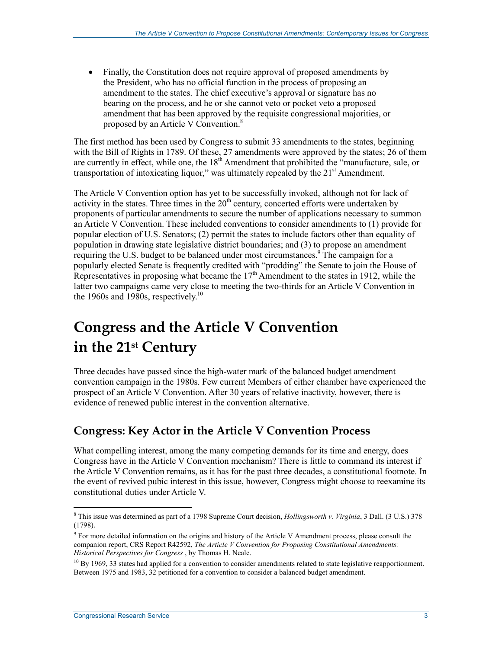• Finally, the Constitution does not require approval of proposed amendments by the President, who has no official function in the process of proposing an amendment to the states. The chief executive's approval or signature has no bearing on the process, and he or she cannot veto or pocket veto a proposed amendment that has been approved by the requisite congressional majorities, or proposed by an Article V Convention.<sup>8</sup>

The first method has been used by Congress to submit 33 amendments to the states, beginning with the Bill of Rights in 1789. Of these, 27 amendments were approved by the states; 26 of them are currently in effect, while one, the 18<sup>th</sup> Amendment that prohibited the "manufacture, sale, or transportation of intoxicating liquor," was ultimately repealed by the  $21<sup>st</sup>$  Amendment.

The Article V Convention option has yet to be successfully invoked, although not for lack of activity in the states. Three times in the  $20<sup>th</sup>$  century, concerted efforts were undertaken by proponents of particular amendments to secure the number of applications necessary to summon an Article V Convention. These included conventions to consider amendments to (1) provide for popular election of U.S. Senators; (2) permit the states to include factors other than equality of population in drawing state legislative district boundaries; and (3) to propose an amendment requiring the U.S. budget to be balanced under most circumstances.<sup>9</sup> The campaign for a popularly elected Senate is frequently credited with "prodding" the Senate to join the House of Representatives in proposing what became the  $17<sup>th</sup>$  Amendment to the states in 1912, while the latter two campaigns came very close to meeting the two-thirds for an Article V Convention in the 1960s and 1980s, respectively.<sup>10</sup>

## **Congress and the Article V Convention in the 21st Century**

Three decades have passed since the high-water mark of the balanced budget amendment convention campaign in the 1980s. Few current Members of either chamber have experienced the prospect of an Article V Convention. After 30 years of relative inactivity, however, there is evidence of renewed public interest in the convention alternative.

## **Congress: Key Actor in the Article V Convention Process**

What compelling interest, among the many competing demands for its time and energy, does Congress have in the Article V Convention mechanism? There is little to command its interest if the Article V Convention remains, as it has for the past three decades, a constitutional footnote. In the event of revived pubic interest in this issue, however, Congress might choose to reexamine its constitutional duties under Article V.

 8 This issue was determined as part of a 1798 Supreme Court decision, *Hollingsworth v. Virginia*, 3 Dall. (3 U.S.) 378 (1798).

<sup>&</sup>lt;sup>9</sup> For more detailed information on the origins and history of the Article V Amendment process, please consult the companion report, CRS Report R42592, *The Article V Convention for Proposing Constitutional Amendments: Historical Perspectives for Congress* , by Thomas H. Neale.

 $^{10}$  By 1969, 33 states had applied for a convention to consider amendments related to state legislative reapportionment. Between 1975 and 1983, 32 petitioned for a convention to consider a balanced budget amendment.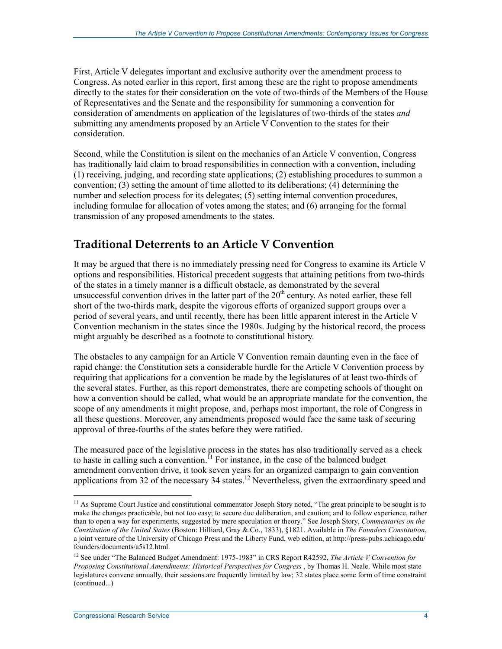First, Article V delegates important and exclusive authority over the amendment process to Congress. As noted earlier in this report, first among these are the right to propose amendments directly to the states for their consideration on the vote of two-thirds of the Members of the House of Representatives and the Senate and the responsibility for summoning a convention for consideration of amendments on application of the legislatures of two-thirds of the states *and* submitting any amendments proposed by an Article V Convention to the states for their consideration.

Second, while the Constitution is silent on the mechanics of an Article V convention, Congress has traditionally laid claim to broad responsibilities in connection with a convention, including (1) receiving, judging, and recording state applications; (2) establishing procedures to summon a convention; (3) setting the amount of time allotted to its deliberations; (4) determining the number and selection process for its delegates; (5) setting internal convention procedures, including formulae for allocation of votes among the states; and (6) arranging for the formal transmission of any proposed amendments to the states.

### **Traditional Deterrents to an Article V Convention**

It may be argued that there is no immediately pressing need for Congress to examine its Article V options and responsibilities. Historical precedent suggests that attaining petitions from two-thirds of the states in a timely manner is a difficult obstacle, as demonstrated by the several unsuccessful convention drives in the latter part of the  $20<sup>th</sup>$  century. As noted earlier, these fell short of the two-thirds mark, despite the vigorous efforts of organized support groups over a period of several years, and until recently, there has been little apparent interest in the Article V Convention mechanism in the states since the 1980s. Judging by the historical record, the process might arguably be described as a footnote to constitutional history.

The obstacles to any campaign for an Article V Convention remain daunting even in the face of rapid change: the Constitution sets a considerable hurdle for the Article V Convention process by requiring that applications for a convention be made by the legislatures of at least two-thirds of the several states. Further, as this report demonstrates, there are competing schools of thought on how a convention should be called, what would be an appropriate mandate for the convention, the scope of any amendments it might propose, and, perhaps most important, the role of Congress in all these questions. Moreover, any amendments proposed would face the same task of securing approval of three-fourths of the states before they were ratified.

The measured pace of the legislative process in the states has also traditionally served as a check to haste in calling such a convention.<sup> $1$ </sup> For instance, in the case of the balanced budget amendment convention drive, it took seven years for an organized campaign to gain convention applications from 32 of the necessary 34 states.<sup>12</sup> Nevertheless, given the extraordinary speed and

 $11$  As Supreme Court Justice and constitutional commentator Joseph Story noted, "The great principle to be sought is to make the changes practicable, but not too easy; to secure due deliberation, and caution; and to follow experience, rather than to open a way for experiments, suggested by mere speculation or theory." See Joseph Story, *Commentaries on the Constitution of the United States* (Boston: Hilliard, Gray & Co., 1833), §1821. Available in *The Founders Constitution*, a joint venture of the University of Chicago Press and the Liberty Fund, web edition, at http://press-pubs.uchicago.edu/ founders/documents/a5s12.html.

<sup>12</sup> See under "The Balanced Budget Amendment: 1975-1983" in CRS Report R42592, *The Article V Convention for Proposing Constitutional Amendments: Historical Perspectives for Congress* , by Thomas H. Neale. While most state legislatures convene annually, their sessions are frequently limited by law; 32 states place some form of time constraint (continued...)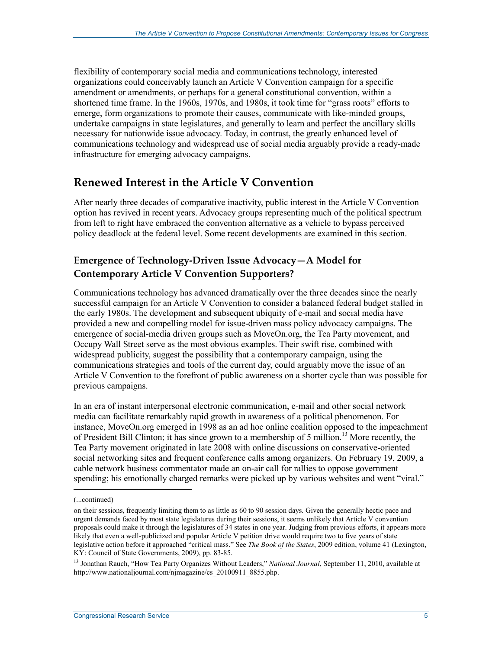flexibility of contemporary social media and communications technology, interested organizations could conceivably launch an Article V Convention campaign for a specific amendment or amendments, or perhaps for a general constitutional convention, within a shortened time frame. In the 1960s, 1970s, and 1980s, it took time for "grass roots" efforts to emerge, form organizations to promote their causes, communicate with like-minded groups, undertake campaigns in state legislatures, and generally to learn and perfect the ancillary skills necessary for nationwide issue advocacy. Today, in contrast, the greatly enhanced level of communications technology and widespread use of social media arguably provide a ready-made infrastructure for emerging advocacy campaigns.

### **Renewed Interest in the Article V Convention**

After nearly three decades of comparative inactivity, public interest in the Article V Convention option has revived in recent years. Advocacy groups representing much of the political spectrum from left to right have embraced the convention alternative as a vehicle to bypass perceived policy deadlock at the federal level. Some recent developments are examined in this section.

#### **Emergence of Technology-Driven Issue Advocacy—A Model for Contemporary Article V Convention Supporters?**

Communications technology has advanced dramatically over the three decades since the nearly successful campaign for an Article V Convention to consider a balanced federal budget stalled in the early 1980s. The development and subsequent ubiquity of e-mail and social media have provided a new and compelling model for issue-driven mass policy advocacy campaigns. The emergence of social-media driven groups such as MoveOn.org, the Tea Party movement, and Occupy Wall Street serve as the most obvious examples. Their swift rise, combined with widespread publicity, suggest the possibility that a contemporary campaign, using the communications strategies and tools of the current day, could arguably move the issue of an Article V Convention to the forefront of public awareness on a shorter cycle than was possible for previous campaigns.

In an era of instant interpersonal electronic communication, e-mail and other social network media can facilitate remarkably rapid growth in awareness of a political phenomenon. For instance, MoveOn.org emerged in 1998 as an ad hoc online coalition opposed to the impeachment of President Bill Clinton; it has since grown to a membership of 5 million.<sup>13</sup> More recently, the Tea Party movement originated in late 2008 with online discussions on conservative-oriented social networking sites and frequent conference calls among organizers. On February 19, 2009, a cable network business commentator made an on-air call for rallies to oppose government spending; his emotionally charged remarks were picked up by various websites and went "viral."

 $\overline{a}$ 

<sup>(...</sup>continued)

on their sessions, frequently limiting them to as little as 60 to 90 session days. Given the generally hectic pace and urgent demands faced by most state legislatures during their sessions, it seems unlikely that Article V convention proposals could make it through the legislatures of 34 states in one year. Judging from previous efforts, it appears more likely that even a well-publicized and popular Article V petition drive would require two to five years of state legislative action before it approached "critical mass." See *The Book of the States*, 2009 edition, volume 41 (Lexington, KY: Council of State Governments, 2009), pp. 83-85.

<sup>13</sup> Jonathan Rauch, "How Tea Party Organizes Without Leaders," *National Journal*, September 11, 2010, available at http://www.nationaljournal.com/njmagazine/cs\_20100911\_8855.php.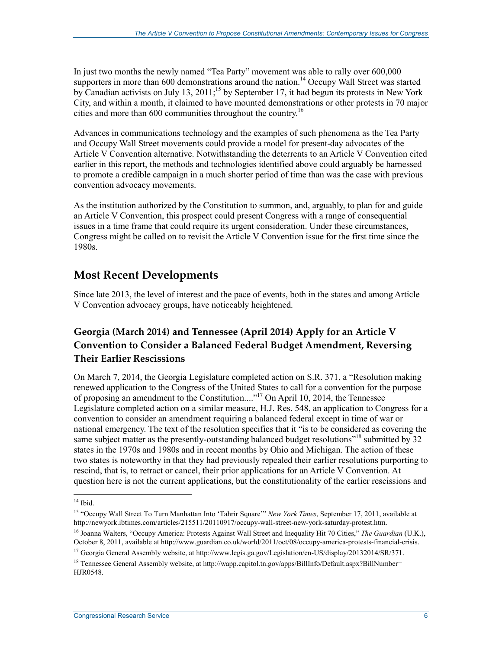In just two months the newly named "Tea Party" movement was able to rally over 600,000 supporters in more than 600 demonstrations around the nation.<sup>14</sup> Occupy Wall Street was started by Canadian activists on July 13, 2011;<sup>15</sup> by September 17, it had begun its protests in New York City, and within a month, it claimed to have mounted demonstrations or other protests in 70 major cities and more than  $600$  communities throughout the country.<sup>16</sup>

Advances in communications technology and the examples of such phenomena as the Tea Party and Occupy Wall Street movements could provide a model for present-day advocates of the Article V Convention alternative. Notwithstanding the deterrents to an Article V Convention cited earlier in this report, the methods and technologies identified above could arguably be harnessed to promote a credible campaign in a much shorter period of time than was the case with previous convention advocacy movements.

As the institution authorized by the Constitution to summon, and, arguably, to plan for and guide an Article V Convention, this prospect could present Congress with a range of consequential issues in a time frame that could require its urgent consideration. Under these circumstances, Congress might be called on to revisit the Article V Convention issue for the first time since the 1980s.

### **Most Recent Developments**

Since late 2013, the level of interest and the pace of events, both in the states and among Article V Convention advocacy groups, have noticeably heightened.

#### **Georgia (March 2014) and Tennessee (April 2014) Apply for an Article V Convention to Consider a Balanced Federal Budget Amendment, Reversing Their Earlier Rescissions**

On March 7, 2014, the Georgia Legislature completed action on S.R. 371, a "Resolution making renewed application to the Congress of the United States to call for a convention for the purpose of proposing an amendment to the Constitution...."17 On April 10, 2014, the Tennessee Legislature completed action on a similar measure, H.J. Res. 548, an application to Congress for a convention to consider an amendment requiring a balanced federal except in time of war or national emergency. The text of the resolution specifies that it "is to be considered as covering the same subject matter as the presently-outstanding balanced budget resolutions"<sup>18</sup> submitted by 32 states in the 1970s and 1980s and in recent months by Ohio and Michigan. The action of these two states is noteworthy in that they had previously repealed their earlier resolutions purporting to rescind, that is, to retract or cancel, their prior applications for an Article V Convention. At question here is not the current applications, but the constitutionality of the earlier rescissions and

 $14$  Ibid.

<sup>15 &</sup>quot;Occupy Wall Street To Turn Manhattan Into 'Tahrir Square'" *New York Times*, September 17, 2011, available at http://newyork.ibtimes.com/articles/215511/20110917/occupy-wall-street-new-york-saturday-protest.htm.

<sup>16</sup> Joanna Walters, "Occupy America: Protests Against Wall Street and Inequality Hit 70 Cities," *The Guardian* (U.K.), October 8, 2011, available at http://www.guardian.co.uk/world/2011/oct/08/occupy-america-protests-financial-crisis.

<sup>17</sup> Georgia General Assembly website, at http://www.legis.ga.gov/Legislation/en-US/display/20132014/SR/371.

<sup>&</sup>lt;sup>18</sup> Tennessee General Assembly website, at http://wapp.capitol.tn.gov/apps/BillInfo/Default.aspx?BillNumber= HJR0548.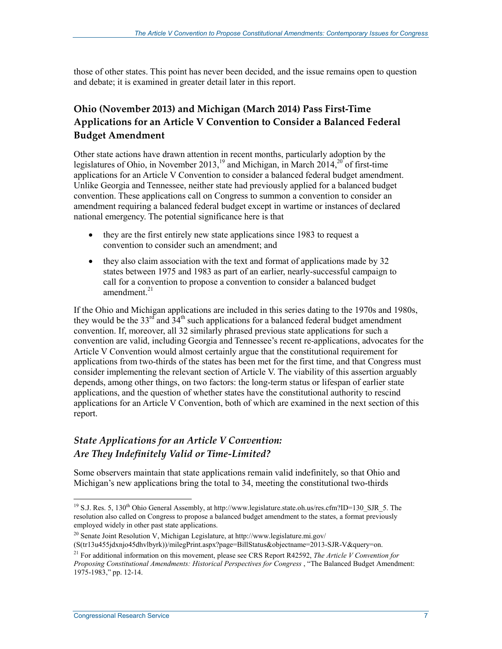those of other states. This point has never been decided, and the issue remains open to question and debate; it is examined in greater detail later in this report.

#### **Ohio (November 2013) and Michigan (March 2014) Pass First-Time Applications for an Article V Convention to Consider a Balanced Federal Budget Amendment**

Other state actions have drawn attention in recent months, particularly adoption by the legislatures of Ohio, in November 2013,<sup>19</sup> and Michigan, in March 2014,<sup>20</sup> of first-time applications for an Article V Convention to consider a balanced federal budget amendment. Unlike Georgia and Tennessee, neither state had previously applied for a balanced budget convention. These applications call on Congress to summon a convention to consider an amendment requiring a balanced federal budget except in wartime or instances of declared national emergency. The potential significance here is that

- they are the first entirely new state applications since 1983 to request a convention to consider such an amendment; and
- they also claim association with the text and format of applications made by 32 states between 1975 and 1983 as part of an earlier, nearly-successful campaign to call for a convention to propose a convention to consider a balanced budget amendment $^{21}$

If the Ohio and Michigan applications are included in this series dating to the 1970s and 1980s, they would be the 33<sup>rd</sup> and  $34<sup>th</sup>$  such applications for a balanced federal budget amendment convention. If, moreover, all 32 similarly phrased previous state applications for such a convention are valid, including Georgia and Tennessee's recent re-applications, advocates for the Article V Convention would almost certainly argue that the constitutional requirement for applications from two-thirds of the states has been met for the first time, and that Congress must consider implementing the relevant section of Article V. The viability of this assertion arguably depends, among other things, on two factors: the long-term status or lifespan of earlier state applications, and the question of whether states have the constitutional authority to rescind applications for an Article V Convention, both of which are examined in the next section of this report.

#### *State Applications for an Article V Convention: Are They Indefinitely Valid or Time-Limited?*

Some observers maintain that state applications remain valid indefinitely, so that Ohio and Michigan's new applications bring the total to 34, meeting the constitutional two-thirds

<sup>&</sup>lt;sup>19</sup> S.J. Res. 5, 130<sup>th</sup> Ohio General Assembly, at http://www.legislature.state.oh.us/res.cfm?ID=130\_SJR\_5. The resolution also called on Congress to propose a balanced budget amendment to the states, a format previously employed widely in other past state applications.

<sup>20</sup> Senate Joint Resolution V, Michigan Legislature, at http://www.legislature.mi.gov/

<sup>(</sup>S(tr13u455jdxnjo45dhvlbyrk))/milegPrint.aspx?page=BillStatus&objectname=2013-SJR-V&query=on.

<sup>21</sup> For additional information on this movement, please see CRS Report R42592, *The Article V Convention for Proposing Constitutional Amendments: Historical Perspectives for Congress* , "The Balanced Budget Amendment: 1975-1983," pp. 12-14.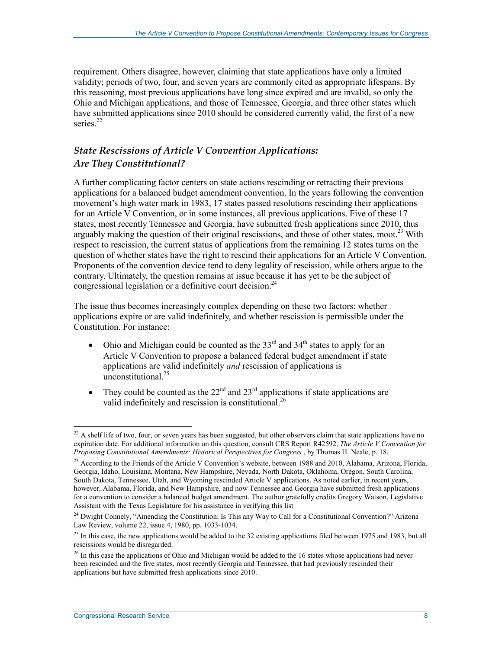requirement. Others disagree, however, claiming that state applications have only a limited validity; periods of two, four, and seven years are commonly cited as appropriate lifespans. By this reasoning, most previous applications have long since expired and are invalid, so only the Ohio and Michigan applications, and those of Tennessee, Georgia, and three other states which have submitted applications since 2010 should be considered currently valid, the first of a new series<sup>22</sup>

#### *State Rescissions of Article V Convention Applications: Are They Constitutional?*

A further complicating factor centers on state actions rescinding or retracting their previous applications for a balanced budget amendment convention. In the years following the convention movement's high water mark in 1983, 17 states passed resolutions rescinding their applications for an Article V Convention, or in some instances, all previous applications. Five of these 17 states, most recently Tennessee and Georgia, have submitted fresh applications since 2010, thus arguably making the question of their original rescissions, and those of other states, moot.<sup>23</sup> With respect to rescission, the current status of applications from the remaining 12 states turns on the question of whether states have the right to rescind their applications for an Article V Convention. Proponents of the convention device tend to deny legality of rescission, while others argue to the contrary. Ultimately, the question remains at issue because it has yet to be the subject of congressional legislation or a definitive court decision.<sup>24</sup>

The issue thus becomes increasingly complex depending on these two factors: whether applications expire or are valid indefinitely, and whether rescission is permissible under the Constitution. For instance:

- Ohio and Michigan could be counted as the  $33<sup>rd</sup>$  and  $34<sup>th</sup>$  states to apply for an Article V Convention to propose a balanced federal budget amendment if state applications are valid indefinitely *and* rescission of applications is unconstitutional $^{25}$
- They could be counted as the  $22<sup>nd</sup>$  and  $23<sup>rd</sup>$  applications if state applications are valid indefinitely and rescission is constitutional.<sup>26</sup>

<u>.</u>

 $^{22}$  A shelf life of two, four, or seven years has been suggested, but other observers claim that state applications have no expiration date. For additional information on this question, consult CRS Report R42592, *The Article V Convention for Proposing Constitutional Amendments: Historical Perspectives for Congress* , by Thomas H. Neale, p. 18.

<sup>&</sup>lt;sup>23</sup> According to the Friends of the Article V Convention's website, between 1988 and 2010, Alabama, Arizona, Florida, Georgia, Idaho, Louisiana, Montana, New Hampshire, Nevada, North Dakota, Oklahoma, Oregon, South Carolina, South Dakota, Tennessee, Utah, and Wyoming rescinded Article V applications. As noted earlier, in recent years, however, Alabama, Florida, and New Hampshire, and now Tennessee and Georgia have submitted fresh applications for a convention to consider a balanced budget amendment. The author gratefully credits Gregory Watson, Legislative Assistant with the Texas Legislature for his assistance in verifying this list

 $24$  Dwight Connely, "Amending the Constitution: Is This any Way to Call for a Constitutional Convention?" Arizona Law Review, volume 22, issue 4, 1980, pp. 1033-1034.

 $25$  In this case, the new applications would be added to the 32 existing applications filed between 1975 and 1983, but all rescissions would be disregarded.

<sup>&</sup>lt;sup>26</sup> In this case the applications of Ohio and Michigan would be added to the 16 states whose applications had never been rescinded and the five states, most recently Georgia and Tennessee, that had previously rescinded their applications but have submitted fresh applications since 2010.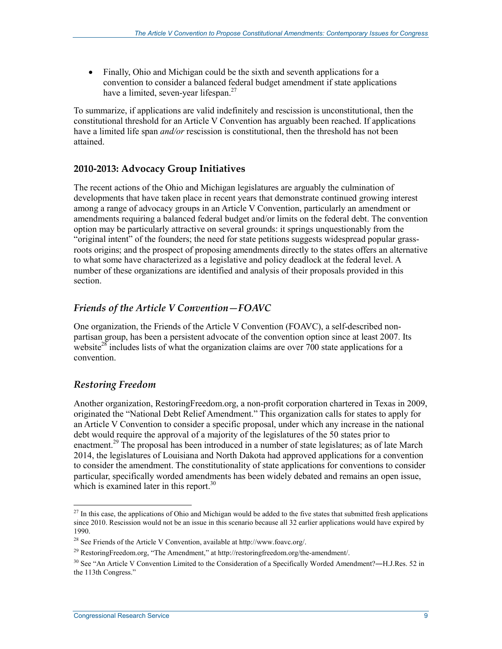• Finally, Ohio and Michigan could be the sixth and seventh applications for a convention to consider a balanced federal budget amendment if state applications have a limited, seven-year lifespan.<sup>27</sup>

To summarize, if applications are valid indefinitely and rescission is unconstitutional, then the constitutional threshold for an Article V Convention has arguably been reached. If applications have a limited life span *and/or* rescission is constitutional, then the threshold has not been attained.

#### **2010-2013: Advocacy Group Initiatives**

The recent actions of the Ohio and Michigan legislatures are arguably the culmination of developments that have taken place in recent years that demonstrate continued growing interest among a range of advocacy groups in an Article V Convention, particularly an amendment or amendments requiring a balanced federal budget and/or limits on the federal debt. The convention option may be particularly attractive on several grounds: it springs unquestionably from the "original intent" of the founders; the need for state petitions suggests widespread popular grassroots origins; and the prospect of proposing amendments directly to the states offers an alternative to what some have characterized as a legislative and policy deadlock at the federal level. A number of these organizations are identified and analysis of their proposals provided in this section.

#### *Friends of the Article V Convention—FOAVC*

One organization, the Friends of the Article V Convention (FOAVC), a self-described nonpartisan group, has been a persistent advocate of the convention option since at least 2007. Its website<sup>28</sup> includes lists of what the organization claims are over 700 state applications for a convention.

#### *Restoring Freedom*

Another organization, RestoringFreedom.org, a non-profit corporation chartered in Texas in 2009, originated the "National Debt Relief Amendment." This organization calls for states to apply for an Article V Convention to consider a specific proposal, under which any increase in the national debt would require the approval of a majority of the legislatures of the 50 states prior to enactment.<sup>29</sup> The proposal has been introduced in a number of state legislatures; as of late March 2014, the legislatures of Louisiana and North Dakota had approved applications for a convention to consider the amendment. The constitutionality of state applications for conventions to consider particular, specifically worded amendments has been widely debated and remains an open issue, which is examined later in this report. $30$ 

<sup>1</sup>  $^{27}$  In this case, the applications of Ohio and Michigan would be added to the five states that submitted fresh applications since 2010. Rescission would not be an issue in this scenario because all 32 earlier applications would have expired by 1990.

<sup>&</sup>lt;sup>28</sup> See Friends of the Article V Convention, available at http://www.foavc.org/.

<sup>&</sup>lt;sup>29</sup> RestoringFreedom.org, "The Amendment," at http://restoringfreedom.org/the-amendment/.

 $30$  See "An Article V Convention Limited to the Consideration of a Specifically Worded Amendment?—H.J.Res. 52 in the 113th Congress."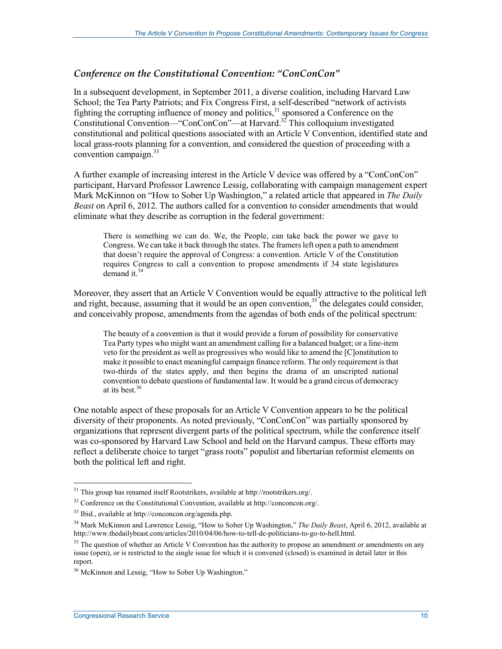#### *Conference on the Constitutional Convention: "ConConCon"*

In a subsequent development, in September 2011, a diverse coalition, including Harvard Law School; the Tea Party Patriots; and Fix Congress First, a self-described "network of activists fighting the corrupting influence of money and politics,<sup>31</sup> sponsored a Conference on the Constitutional Convention—"ConConCon"—at Harvard.32 This colloquium investigated constitutional and political questions associated with an Article V Convention, identified state and local grass-roots planning for a convention, and considered the question of proceeding with a convention campaign. $33$ 

A further example of increasing interest in the Article V device was offered by a "ConConCon" participant, Harvard Professor Lawrence Lessig, collaborating with campaign management expert Mark McKinnon on "How to Sober Up Washington," a related article that appeared in *The Daily Beast* on April 6, 2012. The authors called for a convention to consider amendments that would eliminate what they describe as corruption in the federal government:

There is something we can do. We, the People, can take back the power we gave to Congress. We can take it back through the states. The framers left open a path to amendment that doesn't require the approval of Congress: a convention. Article V of the Constitution requires Congress to call a convention to propose amendments if 34 state legislatures  $d$ emand it.<sup>34</sup>

Moreover, they assert that an Article V Convention would be equally attractive to the political left and right, because, assuming that it would be an open convention,<sup>35</sup> the delegates could consider, and conceivably propose, amendments from the agendas of both ends of the political spectrum:

The beauty of a convention is that it would provide a forum of possibility for conservative Tea Party types who might want an amendment calling for a balanced budget; or a line-item veto for the president as well as progressives who would like to amend the [C]onstitution to make it possible to enact meaningful campaign finance reform. The only requirement is that two-thirds of the states apply, and then begins the drama of an unscripted national convention to debate questions of fundamental law. It would be a grand circus of democracy at its best  $36$ 

One notable aspect of these proposals for an Article V Convention appears to be the political diversity of their proponents. As noted previously, "ConConCon" was partially sponsored by organizations that represent divergent parts of the political spectrum, while the conference itself was co-sponsored by Harvard Law School and held on the Harvard campus. These efforts may reflect a deliberate choice to target "grass roots" populist and libertarian reformist elements on both the political left and right.

<sup>&</sup>lt;sup>31</sup> This group has renamed itself Rootstrikers, available at http://rootstrikers.org/.

<sup>32</sup> Conference on the Constitutional Convention, available at http://conconcon.org/.

<sup>33</sup> Ibid., available at http://conconcon.org/agenda.php.

<sup>34</sup> Mark McKinnon and Lawrence Lessig, "How to Sober Up Washington," *The Daily Beast*, April 6, 2012, available at http://www.thedailybeast.com/articles/2010/04/06/how-to-tell-dc-politicians-to-go-to-hell.html.

<sup>&</sup>lt;sup>35</sup> The question of whether an Article V Convention has the authority to propose an amendment or amendments on any issue (open), or is restricted to the single issue for which it is convened (closed) is examined in detail later in this report.

<sup>36</sup> McKinnon and Lessig, "How to Sober Up Washington."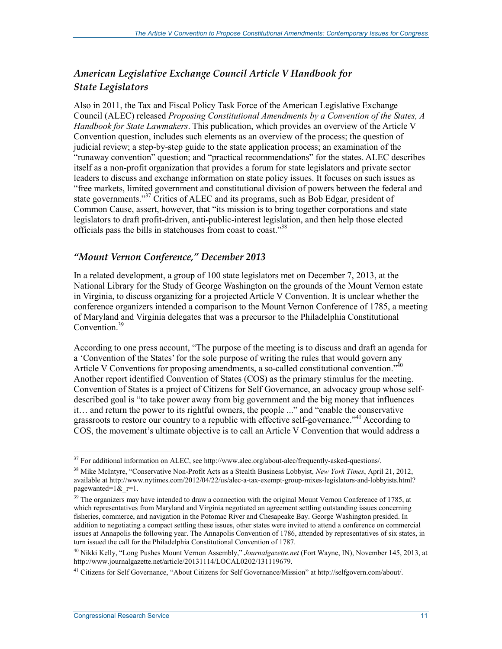#### *American Legislative Exchange Council Article V Handbook for State Legislators*

Also in 2011, the Tax and Fiscal Policy Task Force of the American Legislative Exchange Council (ALEC) released *Proposing Constitutional Amendments by a Convention of the States, A Handbook for State Lawmakers*. This publication, which provides an overview of the Article V Convention question, includes such elements as an overview of the process; the question of judicial review; a step-by-step guide to the state application process; an examination of the "runaway convention" question; and "practical recommendations" for the states. ALEC describes itself as a non-profit organization that provides a forum for state legislators and private sector leaders to discuss and exchange information on state policy issues. It focuses on such issues as "free markets, limited government and constitutional division of powers between the federal and state governments."<sup>37</sup> Critics of ALEC and its programs, such as Bob Edgar, president of Common Cause, assert, however, that "its mission is to bring together corporations and state legislators to draft profit-driven, anti-public-interest legislation, and then help those elected officials pass the bills in statehouses from coast to coast."38

#### *"Mount Vernon Conference," December 2013*

In a related development, a group of 100 state legislators met on December 7, 2013, at the National Library for the Study of George Washington on the grounds of the Mount Vernon estate in Virginia, to discuss organizing for a projected Article V Convention. It is unclear whether the conference organizers intended a comparison to the Mount Vernon Conference of 1785, a meeting of Maryland and Virginia delegates that was a precursor to the Philadelphia Constitutional Convention.<sup>39</sup>

According to one press account, "The purpose of the meeting is to discuss and draft an agenda for a 'Convention of the States' for the sole purpose of writing the rules that would govern any Article V Conventions for proposing amendments, a so-called constitutional convention."<sup>40</sup> Another report identified Convention of States (COS) as the primary stimulus for the meeting. Convention of States is a project of Citizens for Self Governance, an advocacy group whose selfdescribed goal is "to take power away from big government and the big money that influences it… and return the power to its rightful owners, the people ..." and "enable the conservative grassroots to restore our country to a republic with effective self-governance."<sup>41</sup> According to COS, the movement's ultimate objective is to call an Article V Convention that would address a

<u>.</u>

 $37$  For additional information on ALEC, see http://www.alec.org/about-alec/frequently-asked-questions/.

<sup>38</sup> Mike McIntyre, "Conservative Non-Profit Acts as a Stealth Business Lobbyist, *New York Times*, April 21, 2012, available at http://www.nytimes.com/2012/04/22/us/alec-a-tax-exempt-group-mixes-legislators-and-lobbyists.html? pagewanted= $1\&$ r=1.

<sup>&</sup>lt;sup>39</sup> The organizers may have intended to draw a connection with the original Mount Vernon Conference of 1785, at which representatives from Maryland and Virginia negotiated an agreement settling outstanding issues concerning fisheries, commerce, and navigation in the Potomac River and Chesapeake Bay. George Washington presided. In addition to negotiating a compact settling these issues, other states were invited to attend a conference on commercial issues at Annapolis the following year. The Annapolis Convention of 1786, attended by representatives of six states, in turn issued the call for the Philadelphia Constitutional Convention of 1787.

<sup>40</sup> Nikki Kelly, "Long Pushes Mount Vernon Assembly," *Journalgazette.net* (Fort Wayne, IN), November 145, 2013, at http://www.journalgazette.net/article/20131114/LOCAL0202/131119679.

<sup>41</sup> Citizens for Self Governance, "About Citizens for Self Governance/Mission" at http://selfgovern.com/about/.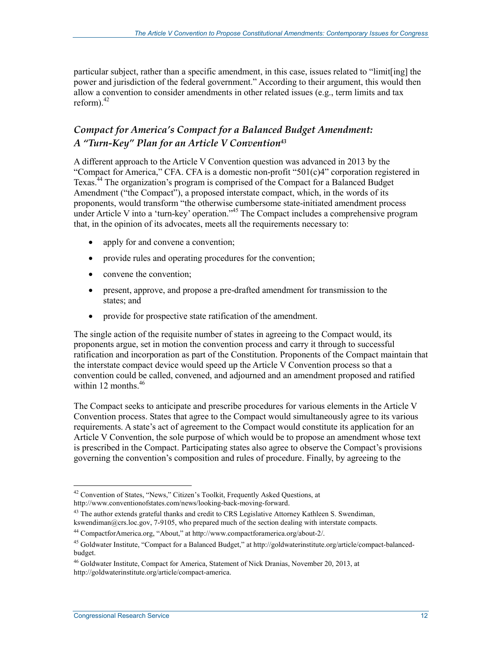particular subject, rather than a specific amendment, in this case, issues related to "limit[ing] the power and jurisdiction of the federal government." According to their argument, this would then allow a convention to consider amendments in other related issues (e.g., term limits and tax reform). $42$ 

#### *Compact for America's Compact for a Balanced Budget Amendment: A "Turn-Key" Plan for an Article V Convention43*

A different approach to the Article V Convention question was advanced in 2013 by the "Compact for America," CFA. CFA is a domestic non-profit "501(c)4" corporation registered in Texas.44 The organization's program is comprised of the Compact for a Balanced Budget Amendment ("the Compact"), a proposed interstate compact, which, in the words of its proponents, would transform "the otherwise cumbersome state-initiated amendment process under Article V into a 'turn-key' operation."<sup>45</sup> The Compact includes a comprehensive program that, in the opinion of its advocates, meets all the requirements necessary to:

- apply for and convene a convention;
- provide rules and operating procedures for the convention;
- convene the convention;
- present, approve, and propose a pre-drafted amendment for transmission to the states; and
- provide for prospective state ratification of the amendment.

The single action of the requisite number of states in agreeing to the Compact would, its proponents argue, set in motion the convention process and carry it through to successful ratification and incorporation as part of the Constitution. Proponents of the Compact maintain that the interstate compact device would speed up the Article V Convention process so that a convention could be called, convened, and adjourned and an amendment proposed and ratified within 12 months  $46$ 

The Compact seeks to anticipate and prescribe procedures for various elements in the Article V Convention process. States that agree to the Compact would simultaneously agree to its various requirements. A state's act of agreement to the Compact would constitute its application for an Article V Convention, the sole purpose of which would be to propose an amendment whose text is prescribed in the Compact. Participating states also agree to observe the Compact's provisions governing the convention's composition and rules of procedure. Finally, by agreeing to the

<sup>&</sup>lt;sup>42</sup> Convention of States, "News," Citizen's Toolkit, Frequently Asked Questions, at http://www.conventionofstates.com/news/looking-back-moving-forward.

<sup>&</sup>lt;sup>43</sup> The author extends grateful thanks and credit to CRS Legislative Attorney Kathleen S. Swendiman, kswendiman@crs.loc.gov, 7-9105, who prepared much of the section dealing with interstate compacts.

<sup>44</sup> CompactforAmerica.org, "About," at http://www.compactforamerica.org/about-2/.

<sup>45</sup> Goldwater Institute, "Compact for a Balanced Budget," at http://goldwaterinstitute.org/article/compact-balancedbudget.

<sup>46</sup> Goldwater Institute, Compact for America, Statement of Nick Dranias, November 20, 2013, at http://goldwaterinstitute.org/article/compact-america.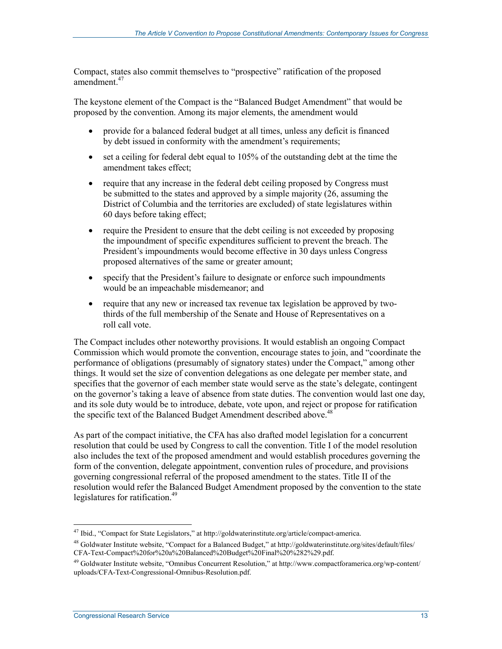Compact, states also commit themselves to "prospective" ratification of the proposed amendment.<sup>47</sup>

The keystone element of the Compact is the "Balanced Budget Amendment" that would be proposed by the convention. Among its major elements, the amendment would

- provide for a balanced federal budget at all times, unless any deficit is financed by debt issued in conformity with the amendment's requirements;
- set a ceiling for federal debt equal to 105% of the outstanding debt at the time the amendment takes effect;
- require that any increase in the federal debt ceiling proposed by Congress must be submitted to the states and approved by a simple majority (26, assuming the District of Columbia and the territories are excluded) of state legislatures within 60 days before taking effect;
- require the President to ensure that the debt ceiling is not exceeded by proposing the impoundment of specific expenditures sufficient to prevent the breach. The President's impoundments would become effective in 30 days unless Congress proposed alternatives of the same or greater amount;
- specify that the President's failure to designate or enforce such impoundments would be an impeachable misdemeanor; and
- require that any new or increased tax revenue tax legislation be approved by twothirds of the full membership of the Senate and House of Representatives on a roll call vote.

The Compact includes other noteworthy provisions. It would establish an ongoing Compact Commission which would promote the convention, encourage states to join, and "coordinate the performance of obligations (presumably of signatory states) under the Compact," among other things. It would set the size of convention delegations as one delegate per member state, and specifies that the governor of each member state would serve as the state's delegate, contingent on the governor's taking a leave of absence from state duties. The convention would last one day, and its sole duty would be to introduce, debate, vote upon, and reject or propose for ratification the specific text of the Balanced Budget Amendment described above.<sup>48</sup>

As part of the compact initiative, the CFA has also drafted model legislation for a concurrent resolution that could be used by Congress to call the convention. Title I of the model resolution also includes the text of the proposed amendment and would establish procedures governing the form of the convention, delegate appointment, convention rules of procedure, and provisions governing congressional referral of the proposed amendment to the states. Title II of the resolution would refer the Balanced Budget Amendment proposed by the convention to the state legislatures for ratification.<sup>49</sup>

<sup>1</sup> <sup>47</sup> Ibid., "Compact for State Legislators," at http://goldwaterinstitute.org/article/compact-america.

<sup>48</sup> Goldwater Institute website, "Compact for a Balanced Budget," at http://goldwaterinstitute.org/sites/default/files/ CFA-Text-Compact%20for%20a%20Balanced%20Budget%20Final%20%282%29.pdf.

<sup>&</sup>lt;sup>49</sup> Goldwater Institute website, "Omnibus Concurrent Resolution," at http://www.compactforamerica.org/wp-content/ uploads/CFA-Text-Congressional-Omnibus-Resolution.pdf.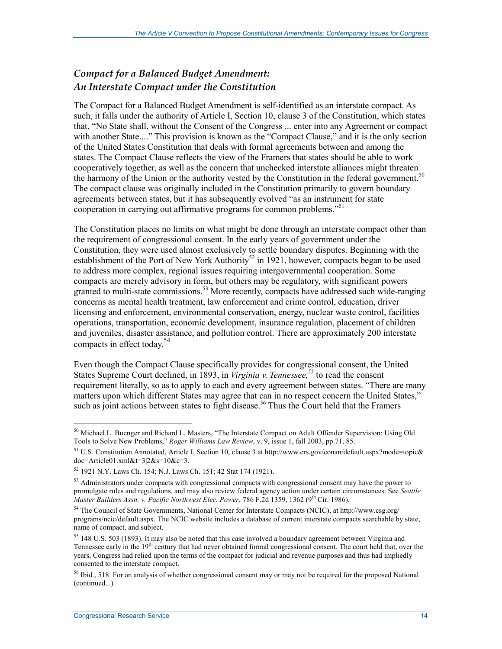#### *Compact for a Balanced Budget Amendment: An Interstate Compact under the Constitution*

The Compact for a Balanced Budget Amendment is self-identified as an interstate compact. As such, it falls under the authority of Article I, Section 10, clause 3 of the Constitution, which states that, "No State shall, without the Consent of the Congress ... enter into any Agreement or compact with another State...." This provision is known as the "Compact Clause," and it is the only section of the United States Constitution that deals with formal agreements between and among the states. The Compact Clause reflects the view of the Framers that states should be able to work cooperatively together, as well as the concern that unchecked interstate alliances might threaten the harmony of the Union or the authority vested by the Constitution in the federal government.<sup>50</sup> The compact clause was originally included in the Constitution primarily to govern boundary agreements between states, but it has subsequently evolved "as an instrument for state cooperation in carrying out affirmative programs for common problems."<sup>51</sup>

The Constitution places no limits on what might be done through an interstate compact other than the requirement of congressional consent. In the early years of government under the Constitution, they were used almost exclusively to settle boundary disputes. Beginning with the establishment of the Port of New York Authority<sup>52</sup> in 1921, however, compacts began to be used to address more complex, regional issues requiring intergovernmental cooperation. Some compacts are merely advisory in form, but others may be regulatory, with significant powers granted to multi-state commissions.<sup>53</sup> More recently, compacts have addressed such wide-ranging concerns as mental health treatment, law enforcement and crime control, education, driver licensing and enforcement, environmental conservation, energy, nuclear waste control, facilities operations, transportation, economic development, insurance regulation, placement of children and juveniles, disaster assistance, and pollution control. There are approximately 200 interstate compacts in effect today.<sup>54</sup>

Even though the Compact Clause specifically provides for congressional consent, the United States Supreme Court declined, in 1893, in *Virginia v. Tennessee*,<sup>55</sup> to read the consent requirement literally, so as to apply to each and every agreement between states. "There are many matters upon which different States may agree that can in no respect concern the United States," such as joint actions between states to fight disease.<sup>56</sup> Thus the Court held that the Framers

<u>.</u>

<sup>&</sup>lt;sup>50</sup> Michael L. Buenger and Richard L. Masters, "The Interstate Compact on Adult Offender Supervision: Using Old Tools to Solve New Problems," *Roger Williams Law Review*, v. 9, issue 1, fall 2003, pp.71, 85.

<sup>&</sup>lt;sup>51</sup> U.S. Constitution Annotated, Article I, Section 10, clause 3 at http://www.crs.gov/conan/default.aspx?mode=topic& doc=Article01.xml&t=3|2&s=10&c=3.

<sup>52 1921</sup> N.Y. Laws Ch. 154; N.J. Laws Ch. 151; 42 Stat 174 (1921).

 $<sup>53</sup>$  Administrators under compacts with congressional compacts with congressional consent may have the power to</sup> promulgate rules and regulations, and may also review federal agency action under certain circumstances. See *Seattle Master Builders Assn. v. Pacific Northwest Elec. Power*, 786 F.2d 1359, 1362 (9th Cir. 1986).

<sup>54</sup> The Council of State Governments, National Center for Interstate Compacts (NCIC), at http://www.csg.org/ programs/ncic/default.aspx. The NCIC website includes a database of current interstate compacts searchable by state, name of compact, and subject.

<sup>55 148</sup> U.S. 503 (1893). It may also be noted that this case involved a boundary agreement between Virginia and Tennessee early in the 19<sup>th</sup> century that had never obtained formal congressional consent. The court held that, over the years, Congress had relied upon the terms of the compact for judicial and revenue purposes and thus had impliedly consented to the interstate compact.

 $<sup>56</sup>$  Ibid., 518. For an analysis of whether congressional consent may or may not be required for the proposed National</sup> (continued...)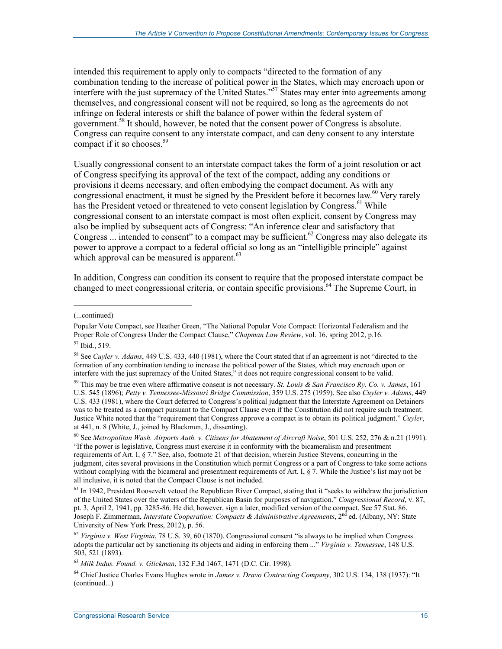intended this requirement to apply only to compacts "directed to the formation of any combination tending to the increase of political power in the States, which may encroach upon or interfere with the just supremacy of the United States."<sup>57</sup> States may enter into agreements among themselves, and congressional consent will not be required, so long as the agreements do not infringe on federal interests or shift the balance of power within the federal system of government.<sup>58</sup> It should, however, be noted that the consent power of Congress is absolute. Congress can require consent to any interstate compact, and can deny consent to any interstate compact if it so chooses.<sup>59</sup>

Usually congressional consent to an interstate compact takes the form of a joint resolution or act of Congress specifying its approval of the text of the compact, adding any conditions or provisions it deems necessary, and often embodying the compact document. As with any congressional enactment, it must be signed by the President before it becomes law.<sup>60</sup> Very rarely has the President vetoed or threatened to veto consent legislation by Congress.<sup>61</sup> While congressional consent to an interstate compact is most often explicit, consent by Congress may also be implied by subsequent acts of Congress: "An inference clear and satisfactory that Congress ... intended to consent" to a compact may be sufficient.<sup>62</sup> Congress may also delegate its power to approve a compact to a federal official so long as an "intelligible principle" against which approval can be measured is apparent. $63$ 

In addition, Congress can condition its consent to require that the proposed interstate compact be changed to meet congressional criteria, or contain specific provisions.<sup>64</sup> The Supreme Court, in

 $\overline{a}$ 

<sup>(...</sup>continued)

Popular Vote Compact, see Heather Green, "The National Popular Vote Compact: Horizontal Federalism and the Proper Role of Congress Under the Compact Clause," *Chapman Law Review*, vol. 16, spring 2012, p.16.

<sup>57</sup> Ibid., 519.

<sup>58</sup> See *Cuyler v. Adams*, 449 U.S. 433, 440 (1981), where the Court stated that if an agreement is not "directed to the formation of any combination tending to increase the political power of the States, which may encroach upon or interfere with the just supremacy of the United States," it does not require congressional consent to be valid.

<sup>59</sup> This may be true even where affirmative consent is not necessary. *St. Louis & San Francisco Ry. Co. v. James*, 161 U.S. 545 (1896); *Petty v. Tennessee-Missouri Bridge Commission*, 359 U.S. 275 (1959). See also *Cuyler v. Adams*, 449 U.S. 433 (1981), where the Court deferred to Congress's political judgment that the Interstate Agreement on Detainers was to be treated as a compact pursuant to the Compact Clause even if the Constitution did not require such treatment. Justice White noted that the "requirement that Congress approve a compact is to obtain its political judgment." *Cuyler*, at 441, n. 8 (White, J., joined by Blackmun, J., dissenting).

<sup>60</sup> See *Metropolitan Wash. Airports Auth. v. Citizens for Abatement of Aircraft Noise*, 501 U.S. 252, 276 & n.21 (1991). "If the power is legislative, Congress must exercise it in conformity with the bicameralism and presentment requirements of Art. I, § 7." See, also, footnote 21 of that decision, wherein Justice Stevens, concurring in the judgment, cites several provisions in the Constitution which permit Congress or a part of Congress to take some actions without complying with the bicameral and presentment requirements of Art. I, § 7. While the Justice's list may not be all inclusive, it is noted that the Compact Clause is not included.

 $<sup>61</sup>$  In 1942, President Roosevelt vetoed the Republican River Compact, stating that it "seeks to withdraw the jurisdiction</sup> of the United States over the waters of the Republican Basin for purposes of navigation." *Congressional Record*, v. 87, pt. 3, April 2, 1941, pp. 3285-86. He did, however, sign a later, modified version of the compact. See 57 Stat. 86. Joseph F. Zimmerman, *Interstate Cooperation: Compacts & Administrative Agreements*, 2<sup>nd</sup> ed. (Albany, NY: State University of New York Press, 2012), p. 56.

<sup>62</sup> *Virginia v. West Virginia*, 78 U.S. 39, 60 (1870). Congressional consent "is always to be implied when Congress adopts the particular act by sanctioning its objects and aiding in enforcing them ..." *Virginia v. Tennessee*, 148 U.S. 503, 521 (1893).

<sup>63</sup> *Milk Indus. Found. v. Glickman*, 132 F.3d 1467, 1471 (D.C. Cir. 1998).

<sup>64</sup> Chief Justice Charles Evans Hughes wrote in *James v. Dravo Contracting Company*, 302 U.S. 134, 138 (1937): "It (continued...)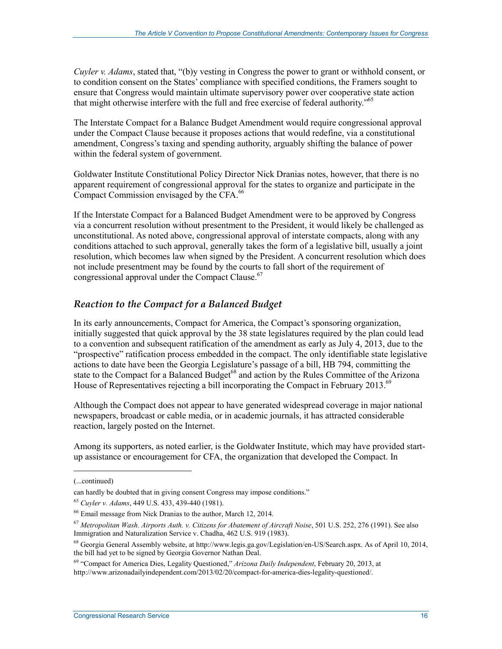*Cuyler v. Adams*, stated that, "(b)y vesting in Congress the power to grant or withhold consent, or to condition consent on the States' compliance with specified conditions, the Framers sought to ensure that Congress would maintain ultimate supervisory power over cooperative state action that might otherwise interfere with the full and free exercise of federal authority."<sup>65</sup>

The Interstate Compact for a Balance Budget Amendment would require congressional approval under the Compact Clause because it proposes actions that would redefine, via a constitutional amendment, Congress's taxing and spending authority, arguably shifting the balance of power within the federal system of government.

Goldwater Institute Constitutional Policy Director Nick Dranias notes, however, that there is no apparent requirement of congressional approval for the states to organize and participate in the Compact Commission envisaged by the CFA.<sup>66</sup>

If the Interstate Compact for a Balanced Budget Amendment were to be approved by Congress via a concurrent resolution without presentment to the President, it would likely be challenged as unconstitutional. As noted above, congressional approval of interstate compacts, along with any conditions attached to such approval, generally takes the form of a legislative bill, usually a joint resolution, which becomes law when signed by the President. A concurrent resolution which does not include presentment may be found by the courts to fall short of the requirement of congressional approval under the Compact Clause.<sup>67</sup>

#### *Reaction to the Compact for a Balanced Budget*

In its early announcements, Compact for America, the Compact's sponsoring organization, initially suggested that quick approval by the 38 state legislatures required by the plan could lead to a convention and subsequent ratification of the amendment as early as July 4, 2013, due to the "prospective" ratification process embedded in the compact. The only identifiable state legislative actions to date have been the Georgia Legislature's passage of a bill, HB 794, committing the state to the Compact for a Balanced Budget<sup>68</sup> and action by the Rules Committee of the Arizona House of Representatives rejecting a bill incorporating the Compact in February 2013. $^{69}$ 

Although the Compact does not appear to have generated widespread coverage in major national newspapers, broadcast or cable media, or in academic journals, it has attracted considerable reaction, largely posted on the Internet.

Among its supporters, as noted earlier, is the Goldwater Institute, which may have provided startup assistance or encouragement for CFA, the organization that developed the Compact. In

<sup>(...</sup>continued)

can hardly be doubted that in giving consent Congress may impose conditions."

<sup>65</sup> *Cuyler v. Adams*, 449 U.S. 433, 439-440 (1981).

<sup>66</sup> Email message from Nick Dranias to the author, March 12, 2014.

<sup>67</sup> *Metropolitan Wash. Airports Auth. v. Citizens for Abatement of Aircraft Noise*, 501 U.S. 252, 276 (1991). See also Immigration and Naturalization Service v. Chadha, 462 U.S. 919 (1983).

<sup>68</sup> Georgia General Assembly website, at http://www.legis.ga.gov/Legislation/en-US/Search.aspx. As of April 10, 2014, the bill had yet to be signed by Georgia Governor Nathan Deal.

<sup>69 &</sup>quot;Compact for America Dies, Legality Questioned," *Arizona Daily Independent*, February 20, 2013, at http://www.arizonadailyindependent.com/2013/02/20/compact-for-america-dies-legality-questioned/.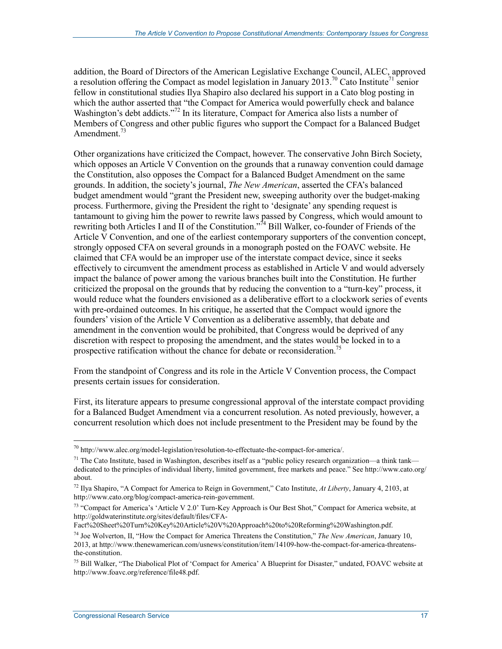addition, the Board of Directors of the American Legislative Exchange Council, ALEC, approved a resolution offering the Compact as model legislation in January 2013.<sup>70</sup> Cato Institute<sup>71</sup> senior fellow in constitutional studies Ilya Shapiro also declared his support in a Cato blog posting in which the author asserted that "the Compact for America would powerfully check and balance Washington's debt addicts."<sup>72</sup> In its literature, Compact for America also lists a number of Members of Congress and other public figures who support the Compact for a Balanced Budget Amendment. $^{73}$ 

Other organizations have criticized the Compact, however. The conservative John Birch Society, which opposes an Article V Convention on the grounds that a runaway convention could damage the Constitution, also opposes the Compact for a Balanced Budget Amendment on the same grounds. In addition, the society's journal, *The New American*, asserted the CFA's balanced budget amendment would "grant the President new, sweeping authority over the budget-making process. Furthermore, giving the President the right to 'designate' any spending request is tantamount to giving him the power to rewrite laws passed by Congress, which would amount to rewriting both Articles I and  $\overline{II}$  of the Constitution."<sup>74</sup> Bill Walker, co-founder of Friends of the Article V Convention, and one of the earliest contemporary supporters of the convention concept, strongly opposed CFA on several grounds in a monograph posted on the FOAVC website. He claimed that CFA would be an improper use of the interstate compact device, since it seeks effectively to circumvent the amendment process as established in Article V and would adversely impact the balance of power among the various branches built into the Constitution. He further criticized the proposal on the grounds that by reducing the convention to a "turn-key" process, it would reduce what the founders envisioned as a deliberative effort to a clockwork series of events with pre-ordained outcomes. In his critique, he asserted that the Compact would ignore the founders' vision of the Article V Convention as a deliberative assembly, that debate and amendment in the convention would be prohibited, that Congress would be deprived of any discretion with respect to proposing the amendment, and the states would be locked in to a prospective ratification without the chance for debate or reconsideration.<sup>75</sup>

From the standpoint of Congress and its role in the Article V Convention process, the Compact presents certain issues for consideration.

First, its literature appears to presume congressional approval of the interstate compact providing for a Balanced Budget Amendment via a concurrent resolution. As noted previously, however, a concurrent resolution which does not include presentment to the President may be found by the

<u>.</u>

<sup>70</sup> http://www.alec.org/model-legislation/resolution-to-effectuate-the-compact-for-america/.

<sup>&</sup>lt;sup>71</sup> The Cato Institute, based in Washington, describes itself as a "public policy research organization—a think tank dedicated to the principles of individual liberty, limited government, free markets and peace." See http://www.cato.org/ about.

<sup>72</sup> Ilya Shapiro, "A Compact for America to Reign in Government," Cato Institute, *At Liberty*, January 4, 2103, at http://www.cato.org/blog/compact-america-rein-government.

<sup>73 &</sup>quot;Compact for America's 'Article V 2.0' Turn-Key Approach is Our Best Shot," Compact for America website, at http://goldwaterinstitute.org/sites/default/files/CFA-

Fact%20Sheet%20Turn%20Key%20Article%20V%20Approach%20to%20Reforming%20Washington.pdf.

<sup>74</sup> Joe Wolverton, II, "How the Compact for America Threatens the Constitution," *The New American*, January 10, 2013, at http://www.thenewamerican.com/usnews/constitution/item/14109-how-the-compact-for-america-threatensthe-constitution.

<sup>&</sup>lt;sup>75</sup> Bill Walker, "The Diabolical Plot of 'Compact for America' A Blueprint for Disaster," undated, FOAVC website at http://www.foavc.org/reference/file48.pdf.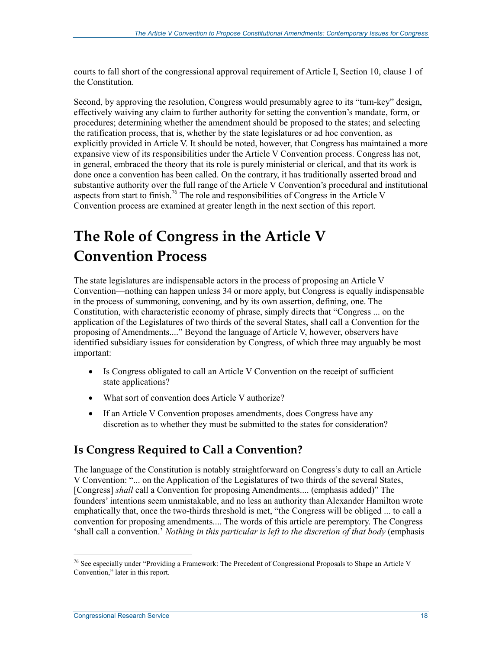courts to fall short of the congressional approval requirement of Article I, Section 10, clause 1 of the Constitution.

Second, by approving the resolution, Congress would presumably agree to its "turn-key" design, effectively waiving any claim to further authority for setting the convention's mandate, form, or procedures; determining whether the amendment should be proposed to the states; and selecting the ratification process, that is, whether by the state legislatures or ad hoc convention, as explicitly provided in Article V. It should be noted, however, that Congress has maintained a more expansive view of its responsibilities under the Article V Convention process. Congress has not, in general, embraced the theory that its role is purely ministerial or clerical, and that its work is done once a convention has been called. On the contrary, it has traditionally asserted broad and substantive authority over the full range of the Article V Convention's procedural and institutional aspects from start to finish.76 The role and responsibilities of Congress in the Article V Convention process are examined at greater length in the next section of this report.

## **The Role of Congress in the Article V Convention Process**

The state legislatures are indispensable actors in the process of proposing an Article V Convention—nothing can happen unless 34 or more apply, but Congress is equally indispensable in the process of summoning, convening, and by its own assertion, defining, one. The Constitution, with characteristic economy of phrase, simply directs that "Congress ... on the application of the Legislatures of two thirds of the several States, shall call a Convention for the proposing of Amendments...." Beyond the language of Article V, however, observers have identified subsidiary issues for consideration by Congress, of which three may arguably be most important:

- Is Congress obligated to call an Article V Convention on the receipt of sufficient state applications?
- What sort of convention does Article V authorize?
- If an Article V Convention proposes amendments, does Congress have any discretion as to whether they must be submitted to the states for consideration?

## **Is Congress Required to Call a Convention?**

The language of the Constitution is notably straightforward on Congress's duty to call an Article V Convention: "... on the Application of the Legislatures of two thirds of the several States, [Congress] *shall* call a Convention for proposing Amendments.... (emphasis added)" The founders' intentions seem unmistakable, and no less an authority than Alexander Hamilton wrote emphatically that, once the two-thirds threshold is met, "the Congress will be obliged ... to call a convention for proposing amendments.... The words of this article are peremptory. The Congress 'shall call a convention.' *Nothing in this particular is left to the discretion of that body* (emphasis

<sup>&</sup>lt;sup>76</sup> See especially under "Providing a Framework: The Precedent of Congressional Proposals to Shape an Article V Convention," later in this report.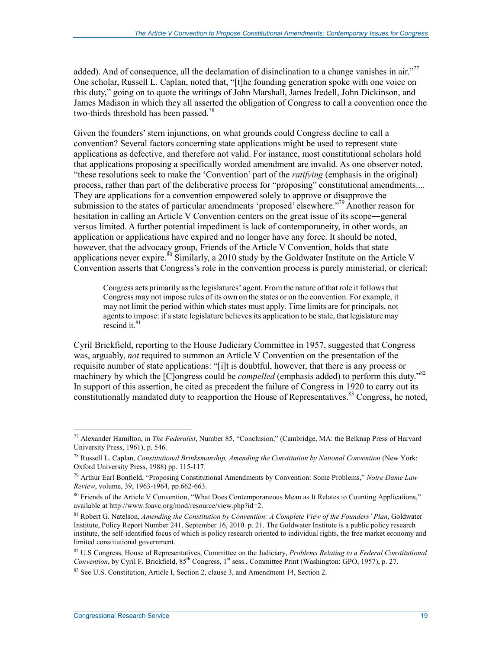added). And of consequence, all the declamation of disinclination to a change vanishes in air.<sup> $277$ </sup> One scholar, Russell L. Caplan, noted that, "[t]he founding generation spoke with one voice on this duty," going on to quote the writings of John Marshall, James Iredell, John Dickinson, and James Madison in which they all asserted the obligation of Congress to call a convention once the two-thirds threshold has been passed.<sup>78</sup>

Given the founders' stern injunctions, on what grounds could Congress decline to call a convention? Several factors concerning state applications might be used to represent state applications as defective, and therefore not valid. For instance, most constitutional scholars hold that applications proposing a specifically worded amendment are invalid. As one observer noted, "these resolutions seek to make the 'Convention' part of the *ratifying* (emphasis in the original) process, rather than part of the deliberative process for "proposing" constitutional amendments.... They are applications for a convention empowered solely to approve or disapprove the submission to the states of particular amendments 'proposed' elsewhere."<sup>79</sup> Another reason for hesitation in calling an Article V Convention centers on the great issue of its scope―general versus limited. A further potential impediment is lack of contemporaneity, in other words, an application or applications have expired and no longer have any force. It should be noted, however, that the advocacy group, Friends of the Article V Convention, holds that state applications never expire.<sup>80</sup> Similarly, a 2010 study by the Goldwater Institute on the Article V Convention asserts that Congress's role in the convention process is purely ministerial, or clerical:

Congress acts primarily as the legislatures' agent. From the nature of that role it follows that Congress may not impose rules of its own on the states or on the convention. For example, it may not limit the period within which states must apply. Time limits are for principals, not agents to impose: if a state legislature believes its application to be stale, that legislature may rescind it. $81$ 

Cyril Brickfield, reporting to the House Judiciary Committee in 1957, suggested that Congress was, arguably, *not* required to summon an Article V Convention on the presentation of the requisite number of state applications: "[i]t is doubtful, however, that there is any process or machinery by which the [C]ongress could be *compelled* (emphasis added) to perform this duty."<sup>82</sup> In support of this assertion, he cited as precedent the failure of Congress in 1920 to carry out its constitutionally mandated duty to reapportion the House of Representatives.<sup>83</sup> Congress, he noted,

<sup>77</sup> Alexander Hamilton, in *The Federalist*, Number 85, "Conclusion," (Cambridge, MA: the Belknap Press of Harvard University Press, 1961), p. 546.

<sup>78</sup> Russell L. Caplan, *Constitutional Brinksmanship, Amending the Constitution by National Convention* (New York: Oxford University Press, 1988) pp. 115-117.

<sup>79</sup> Arthur Earl Bonfield, "Proposing Constitutional Amendments by Convention: Some Problems," *Notre Dame Law Review*, volume, 39, 1963-1964, pp.662-663.

<sup>&</sup>lt;sup>80</sup> Friends of the Article V Convention, "What Does Contemporaneous Mean as It Relates to Counting Applications," available at http://www.foavc.org/mod/resource/view.php?id=2.

<sup>81</sup> Robert G. Natelson, *Amending the Constitution by Convention: A Complete View of the Founders' Plan*, Goldwater Institute, Policy Report Number 241, September 16, 2010. p. 21. The Goldwater Institute is a public policy research institute, the self-identified focus of which is policy research oriented to individual rights, the free market economy and limited constitutional government.

<sup>82</sup> U.S Congress, House of Representatives, Committee on the Judiciary, *Problems Relating to a Federal Constitutional Convention*, by Cyril F. Brickfield, 85<sup>th</sup> Congress, 1<sup>st</sup> sess., Committee Print (Washington: GPO, 1957), p. 27.

<sup>&</sup>lt;sup>83</sup> See U.S. Constitution, Article I, Section 2, clause 3, and Amendment 14, Section 2.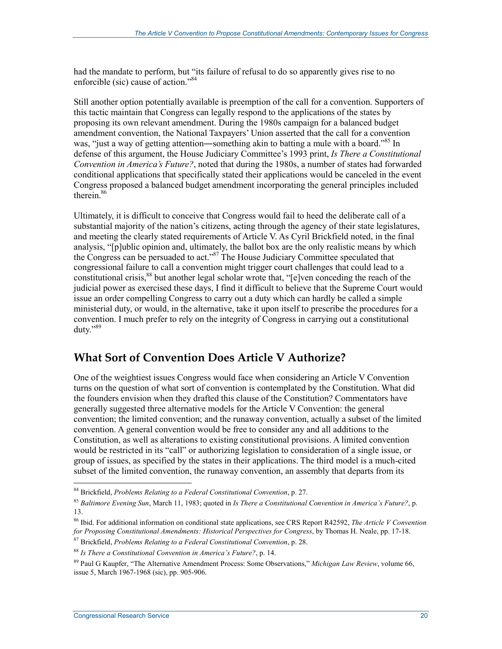had the mandate to perform, but "its failure of refusal to do so apparently gives rise to no enforcible (sic) cause of action."<sup>84</sup>

Still another option potentially available is preemption of the call for a convention. Supporters of this tactic maintain that Congress can legally respond to the applications of the states by proposing its own relevant amendment. During the 1980s campaign for a balanced budget amendment convention, the National Taxpayers' Union asserted that the call for a convention was, "just a way of getting attention—something akin to batting a mule with a board."<sup>85</sup> In defense of this argument, the House Judiciary Committee's 1993 print, *Is There a Constitutional Convention in America's Future?*, noted that during the 1980s, a number of states had forwarded conditional applications that specifically stated their applications would be canceled in the event Congress proposed a balanced budget amendment incorporating the general principles included therein.<sup>86</sup>

Ultimately, it is difficult to conceive that Congress would fail to heed the deliberate call of a substantial majority of the nation's citizens, acting through the agency of their state legislatures, and meeting the clearly stated requirements of Article V. As Cyril Brickfield noted, in the final analysis, "[p]ublic opinion and, ultimately, the ballot box are the only realistic means by which the Congress can be persuaded to act."87 The House Judiciary Committee speculated that congressional failure to call a convention might trigger court challenges that could lead to a constitutional crisis,<sup>88</sup> but another legal scholar wrote that, "[e]ven conceding the reach of the judicial power as exercised these days, I find it difficult to believe that the Supreme Court would issue an order compelling Congress to carry out a duty which can hardly be called a simple ministerial duty, or would, in the alternative, take it upon itself to prescribe the procedures for a convention. I much prefer to rely on the integrity of Congress in carrying out a constitutional duty."<sup>89</sup>

### **What Sort of Convention Does Article V Authorize?**

One of the weightiest issues Congress would face when considering an Article V Convention turns on the question of what sort of convention is contemplated by the Constitution. What did the founders envision when they drafted this clause of the Constitution? Commentators have generally suggested three alternative models for the Article V Convention: the general convention; the limited convention; and the runaway convention, actually a subset of the limited convention. A general convention would be free to consider any and all additions to the Constitution, as well as alterations to existing constitutional provisions. A limited convention would be restricted in its "call" or authorizing legislation to consideration of a single issue, or group of issues, as specified by the states in their applications. The third model is a much-cited subset of the limited convention, the runaway convention, an assembly that departs from its

<sup>84</sup> Brickfield, *Problems Relating to a Federal Constitutional Convention*, p. 27.

<sup>85</sup> *Baltimore Evening Sun*, March 11, 1983; quoted in *Is There a Constitutional Convention in America's Future?*, p. 13.

<sup>86</sup> Ibid. For additional information on conditional state applications, see CRS Report R42592, *The Article V Convention for Proposing Constitutional Amendments: Historical Perspectives for Congress*, by Thomas H. Neale, pp. 17-18.

<sup>87</sup> Brickfield, *Problems Relating to a Federal Constitutional Convention*, p. 28.

<sup>88</sup> *Is There a Constitutional Convention in America's Future?*, p. 14.

<sup>89</sup> Paul G Kaupfer, "The Alternative Amendment Process: Some Observations," *Michigan Law Review*, volume 66, issue 5, March 1967-1968 (sic), pp. 905-906.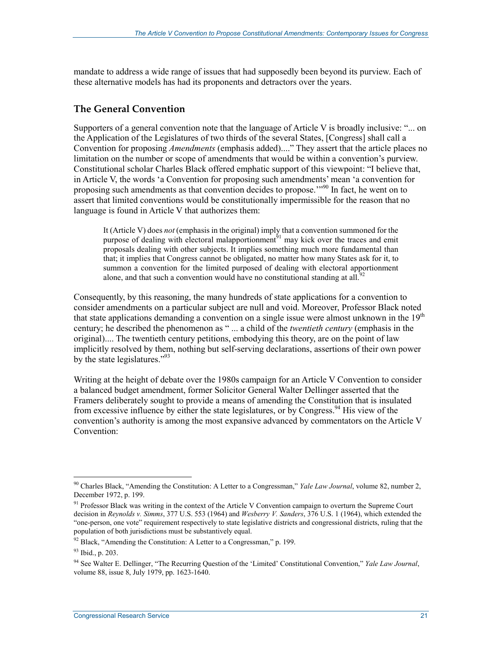mandate to address a wide range of issues that had supposedly been beyond its purview. Each of these alternative models has had its proponents and detractors over the years.

#### **The General Convention**

Supporters of a general convention note that the language of Article V is broadly inclusive: "... on the Application of the Legislatures of two thirds of the several States, [Congress] shall call a Convention for proposing *Amendments* (emphasis added)...." They assert that the article places no limitation on the number or scope of amendments that would be within a convention's purview. Constitutional scholar Charles Black offered emphatic support of this viewpoint: "I believe that, in Article V, the words 'a Convention for proposing such amendments' mean 'a convention for proposing such amendments as that convention decides to propose.'"90 In fact, he went on to assert that limited conventions would be constitutionally impermissible for the reason that no language is found in Article V that authorizes them:

It (Article V) does *not* (emphasis in the original) imply that a convention summoned for the purpose of dealing with electoral malapportionment<sup> $51$ </sup> may kick over the traces and emit proposals dealing with other subjects. It implies something much more fundamental than that; it implies that Congress cannot be obligated, no matter how many States ask for it, to summon a convention for the limited purposed of dealing with electoral apportionment alone, and that such a convention would have no constitutional standing at all.<sup>92</sup>

Consequently, by this reasoning, the many hundreds of state applications for a convention to consider amendments on a particular subject are null and void. Moreover, Professor Black noted that state applications demanding a convention on a single issue were almost unknown in the  $19<sup>th</sup>$ century; he described the phenomenon as " ... a child of the *twentieth century* (emphasis in the original).... The twentieth century petitions, embodying this theory, are on the point of law implicitly resolved by them, nothing but self-serving declarations, assertions of their own power by the state legislatures."<sup>93</sup>

Writing at the height of debate over the 1980s campaign for an Article V Convention to consider a balanced budget amendment, former Solicitor General Walter Dellinger asserted that the Framers deliberately sought to provide a means of amending the Constitution that is insulated from excessive influence by either the state legislatures, or by Congress.<sup>94</sup> His view of the convention's authority is among the most expansive advanced by commentators on the Article V Convention:

<sup>90</sup> Charles Black, "Amending the Constitution: A Letter to a Congressman," *Yale Law Journal*, volume 82, number 2, December 1972, p. 199.

<sup>&</sup>lt;sup>91</sup> Professor Black was writing in the context of the Article V Convention campaign to overturn the Supreme Court decision in *Reynolds v. Simms*, 377 U.S. 553 (1964) and *Wesberry V. Sanders*, 376 U.S. 1 (1964), which extended the "one-person, one vote" requirement respectively to state legislative districts and congressional districts, ruling that the population of both jurisdictions must be substantively equal.

 $92$  Black, "Amending the Constitution: A Letter to a Congressman," p. 199.

<sup>93</sup> Ibid., p. 203.

<sup>94</sup> See Walter E. Dellinger, "The Recurring Question of the 'Limited' Constitutional Convention," *Yale Law Journal*, volume 88, issue 8, July 1979, pp. 1623-1640.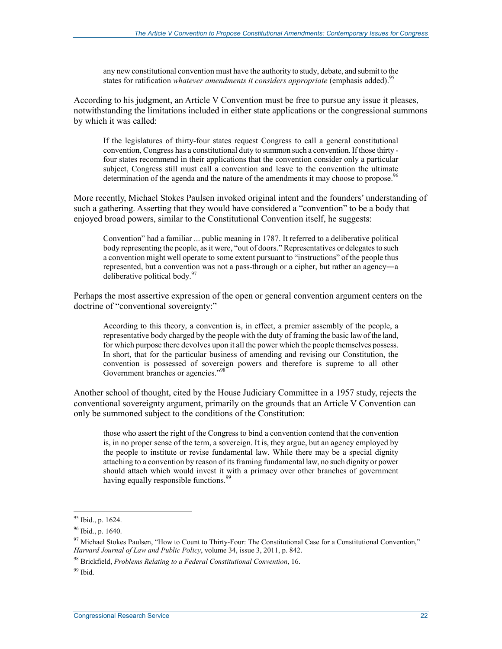any new constitutional convention must have the authority to study, debate, and submit to the states for ratification *whatever amendments it considers appropriate* (emphasis added).<sup>95</sup>

According to his judgment, an Article V Convention must be free to pursue any issue it pleases, notwithstanding the limitations included in either state applications or the congressional summons by which it was called:

If the legislatures of thirty-four states request Congress to call a general constitutional convention, Congress has a constitutional duty to summon such a convention. If those thirty four states recommend in their applications that the convention consider only a particular subject, Congress still must call a convention and leave to the convention the ultimate determination of the agenda and the nature of the amendments it may choose to propose.<sup>96</sup>

More recently, Michael Stokes Paulsen invoked original intent and the founders' understanding of such a gathering. Asserting that they would have considered a "convention" to be a body that enjoyed broad powers, similar to the Constitutional Convention itself, he suggests:

Convention" had a familiar ... public meaning in 1787. It referred to a deliberative political body representing the people, as it were, "out of doors." Representatives or delegates to such a convention might well operate to some extent pursuant to "instructions" of the people thus represented, but a convention was not a pass-through or a cipher, but rather an agency―a deliberative political body.<sup>97</sup>

Perhaps the most assertive expression of the open or general convention argument centers on the doctrine of "conventional sovereignty:"

According to this theory, a convention is, in effect, a premier assembly of the people, a representative body charged by the people with the duty of framing the basic law of the land, for which purpose there devolves upon it all the power which the people themselves possess. In short, that for the particular business of amending and revising our Constitution, the convention is possessed of sovereign powers and therefore is supreme to all other Government branches or agencies."<sup>98</sup>

Another school of thought, cited by the House Judiciary Committee in a 1957 study, rejects the conventional sovereignty argument, primarily on the grounds that an Article V Convention can only be summoned subject to the conditions of the Constitution:

those who assert the right of the Congress to bind a convention contend that the convention is, in no proper sense of the term, a sovereign. It is, they argue, but an agency employed by the people to institute or revise fundamental law. While there may be a special dignity attaching to a convention by reason of its framing fundamental law, no such dignity or power should attach which would invest it with a primacy over other branches of government having equally responsible functions.<sup>99</sup>

99 Ibid.

<sup>&</sup>lt;sup>95</sup> Ibid., p. 1624.

<sup>&</sup>lt;sup>96</sup> Ibid., p. 1640.

<sup>&</sup>lt;sup>97</sup> Michael Stokes Paulsen, "How to Count to Thirty-Four: The Constitutional Case for a Constitutional Convention," *Harvard Journal of Law and Public Policy*, volume 34, issue 3, 2011, p. 842.

<sup>98</sup> Brickfield, *Problems Relating to a Federal Constitutional Convention*, 16.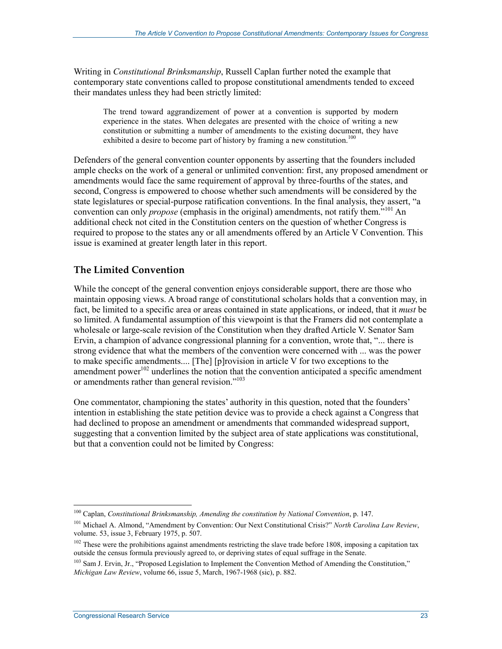Writing in *Constitutional Brinksmanship*, Russell Caplan further noted the example that contemporary state conventions called to propose constitutional amendments tended to exceed their mandates unless they had been strictly limited:

The trend toward aggrandizement of power at a convention is supported by modern experience in the states. When delegates are presented with the choice of writing a new constitution or submitting a number of amendments to the existing document, they have exhibited a desire to become part of history by framing a new constitution.<sup>100</sup>

Defenders of the general convention counter opponents by asserting that the founders included ample checks on the work of a general or unlimited convention: first, any proposed amendment or amendments would face the same requirement of approval by three-fourths of the states, and second, Congress is empowered to choose whether such amendments will be considered by the state legislatures or special-purpose ratification conventions. In the final analysis, they assert, "a convention can only *propose* (emphasis in the original) amendments, not ratify them."101 An additional check not cited in the Constitution centers on the question of whether Congress is required to propose to the states any or all amendments offered by an Article V Convention. This issue is examined at greater length later in this report.

#### **The Limited Convention**

While the concept of the general convention enjoys considerable support, there are those who maintain opposing views. A broad range of constitutional scholars holds that a convention may, in fact, be limited to a specific area or areas contained in state applications, or indeed, that it *must* be so limited. A fundamental assumption of this viewpoint is that the Framers did not contemplate a wholesale or large-scale revision of the Constitution when they drafted Article V. Senator Sam Ervin, a champion of advance congressional planning for a convention, wrote that, "... there is strong evidence that what the members of the convention were concerned with ... was the power to make specific amendments.... [The] [p]rovision in article V for two exceptions to the amendment power<sup> $102$ </sup> underlines the notion that the convention anticipated a specific amendment or amendments rather than general revision."<sup>103</sup>

One commentator, championing the states' authority in this question, noted that the founders' intention in establishing the state petition device was to provide a check against a Congress that had declined to propose an amendment or amendments that commanded widespread support, suggesting that a convention limited by the subject area of state applications was constitutional, but that a convention could not be limited by Congress:

<sup>1</sup> 100 Caplan, *Constitutional Brinksmanship, Amending the constitution by National Convention*, p. 147.

<sup>101</sup> Michael A. Almond, "Amendment by Convention: Our Next Constitutional Crisis?" *North Carolina Law Review*, volume. 53, issue 3, February 1975, p. 507.

<sup>&</sup>lt;sup>102</sup> These were the prohibitions against amendments restricting the slave trade before 1808, imposing a capitation tax outside the census formula previously agreed to, or depriving states of equal suffrage in the Senate.

<sup>&</sup>lt;sup>103</sup> Sam J. Ervin, Jr., "Proposed Legislation to Implement the Convention Method of Amending the Constitution," *Michigan Law Review*, volume 66, issue 5, March, 1967-1968 (sic), p. 882.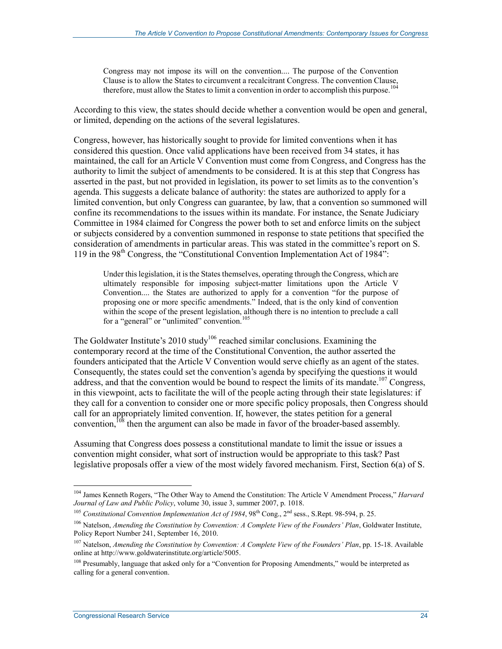Congress may not impose its will on the convention.... The purpose of the Convention Clause is to allow the States to circumvent a recalcitrant Congress. The convention Clause, therefore, must allow the States to limit a convention in order to accomplish this purpose.<sup>104</sup>

According to this view, the states should decide whether a convention would be open and general, or limited, depending on the actions of the several legislatures.

Congress, however, has historically sought to provide for limited conventions when it has considered this question. Once valid applications have been received from 34 states, it has maintained, the call for an Article V Convention must come from Congress, and Congress has the authority to limit the subject of amendments to be considered. It is at this step that Congress has asserted in the past, but not provided in legislation, its power to set limits as to the convention's agenda. This suggests a delicate balance of authority: the states are authorized to apply for a limited convention, but only Congress can guarantee, by law, that a convention so summoned will confine its recommendations to the issues within its mandate. For instance, the Senate Judiciary Committee in 1984 claimed for Congress the power both to set and enforce limits on the subject or subjects considered by a convention summoned in response to state petitions that specified the consideration of amendments in particular areas. This was stated in the committee's report on S. 119 in the 98th Congress, the "Constitutional Convention Implementation Act of 1984":

Under this legislation, it is the States themselves, operating through the Congress, which are ultimately responsible for imposing subject-matter limitations upon the Article V Convention.... the States are authorized to apply for a convention "for the purpose of proposing one or more specific amendments." Indeed, that is the only kind of convention within the scope of the present legislation, although there is no intention to preclude a call for a "general" or "unlimited" convention.<sup>105</sup>

The Goldwater Institute's  $2010$  study<sup>106</sup> reached similar conclusions. Examining the contemporary record at the time of the Constitutional Convention, the author asserted the founders anticipated that the Article V Convention would serve chiefly as an agent of the states. Consequently, the states could set the convention's agenda by specifying the questions it would address, and that the convention would be bound to respect the limits of its mandate.<sup>107</sup> Congress, in this viewpoint, acts to facilitate the will of the people acting through their state legislatures: if they call for a convention to consider one or more specific policy proposals, then Congress should call for an appropriately limited convention. If, however, the states petition for a general convention,<sup>108</sup> then the argument can also be made in favor of the broader-based assembly.

Assuming that Congress does possess a constitutional mandate to limit the issue or issues a convention might consider, what sort of instruction would be appropriate to this task? Past legislative proposals offer a view of the most widely favored mechanism. First, Section 6(a) of S.

<sup>104</sup> James Kenneth Rogers, "The Other Way to Amend the Constitution: The Article V Amendment Process," *Harvard Journal of Law and Public Policy*, volume 30, issue 3, summer 2007, p. 1018.

<sup>&</sup>lt;sup>105</sup> *Constitutional Convention Implementation Act of 1984*, 98<sup>th</sup> Cong., 2<sup>nd</sup> sess., S.Rept. 98-594, p. 25.

<sup>106</sup> Natelson, *Amending the Constitution by Convention: A Complete View of the Founders' Plan*, Goldwater Institute, Policy Report Number 241, September 16, 2010.

<sup>107</sup> Natelson, *Amending the Constitution by Convention: A Complete View of the Founders' Plan*, pp. 15-18. Available online at http://www.goldwaterinstitute.org/article/5005.

<sup>&</sup>lt;sup>108</sup> Presumably, language that asked only for a "Convention for Proposing Amendments," would be interpreted as calling for a general convention.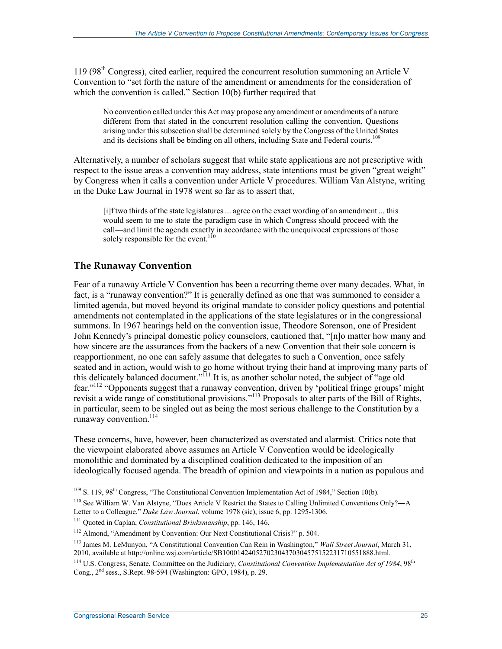$119 (98<sup>th</sup> Congress)$ , cited earlier, required the concurrent resolution summoning an Article V Convention to "set forth the nature of the amendment or amendments for the consideration of which the convention is called." Section 10(b) further required that

No convention called under this Act may propose any amendment or amendments of a nature different from that stated in the concurrent resolution calling the convention. Questions arising under this subsection shall be determined solely by the Congress of the United States and its decisions shall be binding on all others, including State and Federal courts.<sup>109</sup>

Alternatively, a number of scholars suggest that while state applications are not prescriptive with respect to the issue areas a convention may address, state intentions must be given "great weight" by Congress when it calls a convention under Article V procedures. William Van Alstyne, writing in the Duke Law Journal in 1978 went so far as to assert that,

[i]f two thirds of the state legislatures ... agree on the exact wording of an amendment ... this would seem to me to state the paradigm case in which Congress should proceed with the call―and limit the agenda exactly in accordance with the unequivocal expressions of those solely responsible for the event.<sup>110</sup>

#### **The Runaway Convention**

Fear of a runaway Article V Convention has been a recurring theme over many decades. What, in fact, is a "runaway convention?" It is generally defined as one that was summoned to consider a limited agenda, but moved beyond its original mandate to consider policy questions and potential amendments not contemplated in the applications of the state legislatures or in the congressional summons. In 1967 hearings held on the convention issue, Theodore Sorenson, one of President John Kennedy's principal domestic policy counselors, cautioned that, "[n]o matter how many and how sincere are the assurances from the backers of a new Convention that their sole concern is reapportionment, no one can safely assume that delegates to such a Convention, once safely seated and in action, would wish to go home without trying their hand at improving many parts of this delicately balanced document."<sup> $11$ </sup> It is, as another scholar noted, the subject of "age old" fear."112 "Opponents suggest that a runaway convention, driven by 'political fringe groups' might revisit a wide range of constitutional provisions."113 Proposals to alter parts of the Bill of Rights, in particular, seem to be singled out as being the most serious challenge to the Constitution by a runaway convention.<sup>114</sup>

These concerns, have, however, been characterized as overstated and alarmist. Critics note that the viewpoint elaborated above assumes an Article V Convention would be ideologically monolithic and dominated by a disciplined coalition dedicated to the imposition of an ideologically focused agenda. The breadth of opinion and viewpoints in a nation as populous and

<sup>&</sup>lt;sup>109</sup> S. 119, 98<sup>th</sup> Congress, "The Constitutional Convention Implementation Act of 1984," Section 10(b).

<sup>110</sup> See William W. Van Alstyne, "Does Article V Restrict the States to Calling Unlimited Conventions Only?―A Letter to a Colleague," *Duke Law Journal*, volume 1978 (sic), issue 6, pp. 1295-1306.

<sup>111</sup> Quoted in Caplan, *Constitutional Brinksmanship*, pp. 146, 146.

<sup>112</sup> Almond, "Amendment by Convention: Our Next Constitutional Crisis?" p. 504.

<sup>113</sup> James M. LeMunyon, "A Constitutional Convention Can Rein in Washington," *Wall Street Journal*, March 31, 2010, available at http://online.wsj.com/article/SB10001424052702304370304575152231710551888.html.

<sup>&</sup>lt;sup>114</sup> U.S. Congress, Senate, Committee on the Judiciary, *Constitutional Convention Implementation Act of 1984*, 98<sup>th</sup> Cong., 2<sup>nd</sup> sess., S.Rept. 98-594 (Washington: GPO, 1984), p. 29.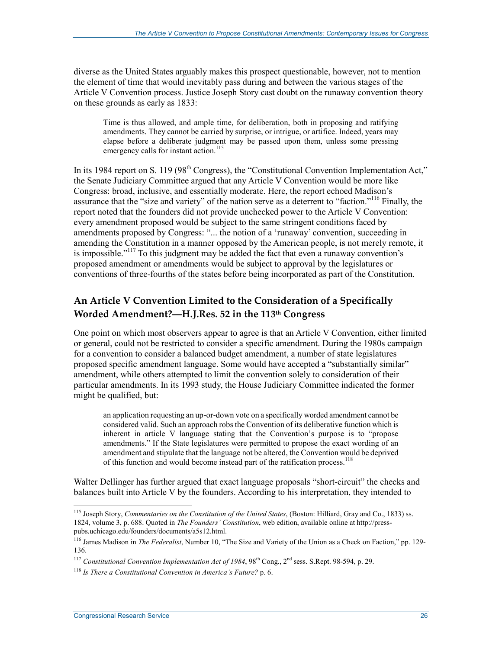diverse as the United States arguably makes this prospect questionable, however, not to mention the element of time that would inevitably pass during and between the various stages of the Article V Convention process. Justice Joseph Story cast doubt on the runaway convention theory on these grounds as early as 1833:

Time is thus allowed, and ample time, for deliberation, both in proposing and ratifying amendments. They cannot be carried by surprise, or intrigue, or artifice. Indeed, years may elapse before a deliberate judgment may be passed upon them, unless some pressing emergency calls for instant action.<sup>115</sup>

In its 1984 report on S. 119 (98<sup>th</sup> Congress), the "Constitutional Convention Implementation Act," the Senate Judiciary Committee argued that any Article V Convention would be more like Congress: broad, inclusive, and essentially moderate. Here, the report echoed Madison's assurance that the "size and variety" of the nation serve as a deterrent to "faction."116 Finally, the report noted that the founders did not provide unchecked power to the Article V Convention: every amendment proposed would be subject to the same stringent conditions faced by amendments proposed by Congress: "... the notion of a 'runaway' convention, succeeding in amending the Constitution in a manner opposed by the American people, is not merely remote, it is impossible."117 To this judgment may be added the fact that even a runaway convention's proposed amendment or amendments would be subject to approval by the legislatures or conventions of three-fourths of the states before being incorporated as part of the Constitution.

#### **An Article V Convention Limited to the Consideration of a Specifically Worded Amendment?―H.J.Res. 52 in the 113th Congress**

One point on which most observers appear to agree is that an Article V Convention, either limited or general, could not be restricted to consider a specific amendment. During the 1980s campaign for a convention to consider a balanced budget amendment, a number of state legislatures proposed specific amendment language. Some would have accepted a "substantially similar" amendment, while others attempted to limit the convention solely to consideration of their particular amendments. In its 1993 study, the House Judiciary Committee indicated the former might be qualified, but:

an application requesting an up-or-down vote on a specifically worded amendment cannot be considered valid. Such an approach robs the Convention of its deliberative function which is inherent in article V language stating that the Convention's purpose is to "propose amendments." If the State legislatures were permitted to propose the exact wording of an amendment and stipulate that the language not be altered, the Convention would be deprived of this function and would become instead part of the ratification process.<sup>118</sup>

Walter Dellinger has further argued that exact language proposals "short-circuit" the checks and balances built into Article V by the founders. According to his interpretation, they intended to

<sup>1</sup> 115 Joseph Story, *Commentaries on the Constitution of the United States*, (Boston: Hilliard, Gray and Co., 1833) ss. 1824, volume 3, p. 688. Quoted in *The Founders' Constitution*, web edition, available online at http://presspubs.uchicago.edu/founders/documents/a5s12.html.

<sup>116</sup> James Madison in *The Federalist*, Number 10, "The Size and Variety of the Union as a Check on Faction," pp. 129- 136.

<sup>&</sup>lt;sup>117</sup> *Constitutional Convention Implementation Act of 1984*, 98<sup>th</sup> Cong., 2<sup>nd</sup> sess. S.Rept. 98-594, p. 29.

<sup>118</sup> *Is There a Constitutional Convention in America's Future?* p. 6.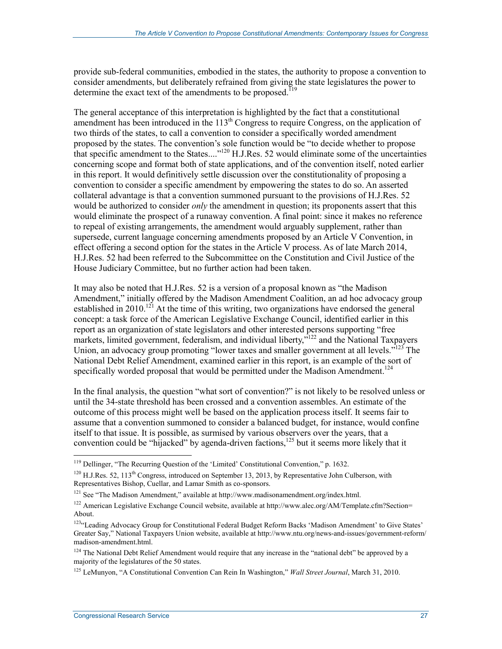provide sub-federal communities, embodied in the states, the authority to propose a convention to consider amendments, but deliberately refrained from giving the state legislatures the power to determine the exact text of the amendments to be proposed.<sup>119</sup>

The general acceptance of this interpretation is highlighted by the fact that a constitutional amendment has been introduced in the  $113<sup>th</sup>$  Congress to require Congress, on the application of two thirds of the states, to call a convention to consider a specifically worded amendment proposed by the states. The convention's sole function would be "to decide whether to propose that specific amendment to the States...."120 H.J.Res. 52 would eliminate some of the uncertainties concerning scope and format both of state applications, and of the convention itself, noted earlier in this report. It would definitively settle discussion over the constitutionality of proposing a convention to consider a specific amendment by empowering the states to do so. An asserted collateral advantage is that a convention summoned pursuant to the provisions of H.J.Res. 52 would be authorized to consider *only* the amendment in question; its proponents assert that this would eliminate the prospect of a runaway convention. A final point: since it makes no reference to repeal of existing arrangements, the amendment would arguably supplement, rather than supersede, current language concerning amendments proposed by an Article V Convention, in effect offering a second option for the states in the Article V process. As of late March 2014, H.J.Res. 52 had been referred to the Subcommittee on the Constitution and Civil Justice of the House Judiciary Committee, but no further action had been taken.

It may also be noted that H.J.Res. 52 is a version of a proposal known as "the Madison Amendment," initially offered by the Madison Amendment Coalition, an ad hoc advocacy group established in 2010.<sup>121</sup> At the time of this writing, two organizations have endorsed the general concept: a task force of the American Legislative Exchange Council, identified earlier in this report as an organization of state legislators and other interested persons supporting "free markets, limited government, federalism, and individual liberty,<sup>2122</sup> and the National Taxpayers Union, an advocacy group promoting "lower taxes and smaller government at all levels."<sup>123</sup> The National Debt Relief Amendment, examined earlier in this report, is an example of the sort of specifically worded proposal that would be permitted under the Madison Amendment.<sup>124</sup>

In the final analysis, the question "what sort of convention?" is not likely to be resolved unless or until the 34-state threshold has been crossed and a convention assembles. An estimate of the outcome of this process might well be based on the application process itself. It seems fair to assume that a convention summoned to consider a balanced budget, for instance, would confine itself to that issue. It is possible, as surmised by various observers over the years, that a convention could be "hijacked" by agenda-driven factions.<sup>125</sup> but it seems more likely that it

<sup>&</sup>lt;sup>119</sup> Dellinger, "The Recurring Question of the 'Limited' Constitutional Convention," p. 1632.

 $120$  H.J.Res. 52, 113<sup>th</sup> Congress, introduced on September 13, 2013, by Representative John Culberson, with Representatives Bishop, Cuellar, and Lamar Smith as co-sponsors.

<sup>&</sup>lt;sup>121</sup> See "The Madison Amendment," available at http://www.madisonamendment.org/index.html.

<sup>122</sup> American Legislative Exchange Council website, available at http://www.alec.org/AM/Template.cfm?Section= About.

<sup>123&</sup>quot;Leading Advocacy Group for Constitutional Federal Budget Reform Backs 'Madison Amendment' to Give States' Greater Say," National Taxpayers Union website, available at http://www.ntu.org/news-and-issues/government-reform/ madison-amendment.html.

<sup>&</sup>lt;sup>124</sup> The National Debt Relief Amendment would require that any increase in the "national debt" be approved by a majority of the legislatures of the 50 states.

<sup>125</sup> LeMunyon, "A Constitutional Convention Can Rein In Washington," *Wall Street Journal*, March 31, 2010.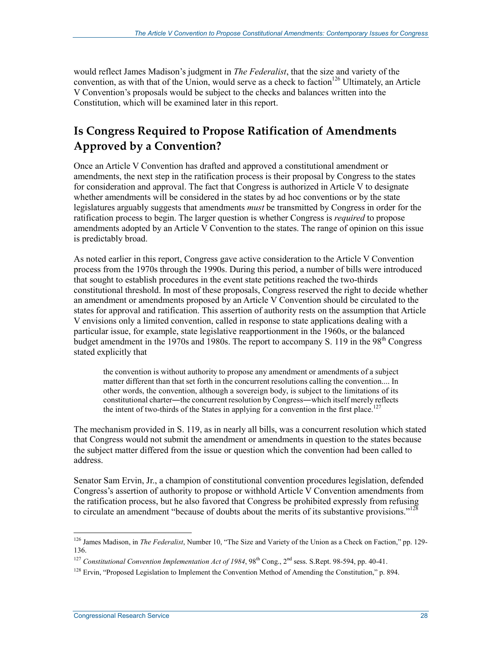would reflect James Madison's judgment in *The Federalist*, that the size and variety of the convention, as with that of the Union, would serve as a check to faction<sup>126</sup> Ultimately, an Article V Convention's proposals would be subject to the checks and balances written into the Constitution, which will be examined later in this report.

## **Is Congress Required to Propose Ratification of Amendments Approved by a Convention?**

Once an Article V Convention has drafted and approved a constitutional amendment or amendments, the next step in the ratification process is their proposal by Congress to the states for consideration and approval. The fact that Congress is authorized in Article V to designate whether amendments will be considered in the states by ad hoc conventions or by the state legislatures arguably suggests that amendments *must* be transmitted by Congress in order for the ratification process to begin. The larger question is whether Congress is *required* to propose amendments adopted by an Article V Convention to the states. The range of opinion on this issue is predictably broad.

As noted earlier in this report, Congress gave active consideration to the Article V Convention process from the 1970s through the 1990s. During this period, a number of bills were introduced that sought to establish procedures in the event state petitions reached the two-thirds constitutional threshold. In most of these proposals, Congress reserved the right to decide whether an amendment or amendments proposed by an Article V Convention should be circulated to the states for approval and ratification. This assertion of authority rests on the assumption that Article V envisions only a limited convention, called in response to state applications dealing with a particular issue, for example, state legislative reapportionment in the 1960s, or the balanced budget amendment in the  $1970s$  and  $1980s$ . The report to accompany S. 119 in the  $98<sup>th</sup>$  Congress stated explicitly that

the convention is without authority to propose any amendment or amendments of a subject matter different than that set forth in the concurrent resolutions calling the convention.... In other words, the convention, although a sovereign body, is subject to the limitations of its constitutional charter―the concurrent resolution by Congress―which itself merely reflects the intent of two-thirds of the States in applying for a convention in the first place.<sup>127</sup>

The mechanism provided in S. 119, as in nearly all bills, was a concurrent resolution which stated that Congress would not submit the amendment or amendments in question to the states because the subject matter differed from the issue or question which the convention had been called to address.

Senator Sam Ervin, Jr., a champion of constitutional convention procedures legislation, defended Congress's assertion of authority to propose or withhold Article V Convention amendments from the ratification process, but he also favored that Congress be prohibited expressly from refusing to circulate an amendment "because of doubts about the merits of its substantive provisions."<sup>128</sup>

<sup>126</sup> James Madison, in *The Federalist*, Number 10, "The Size and Variety of the Union as a Check on Faction," pp. 129- 136.

<sup>&</sup>lt;sup>127</sup> *Constitutional Convention Implementation Act of 1984*, 98<sup>th</sup> Cong., 2<sup>nd</sup> sess. S.Rept. 98-594, pp. 40-41.

<sup>&</sup>lt;sup>128</sup> Ervin, "Proposed Legislation to Implement the Convention Method of Amending the Constitution,"  $p. 894$ .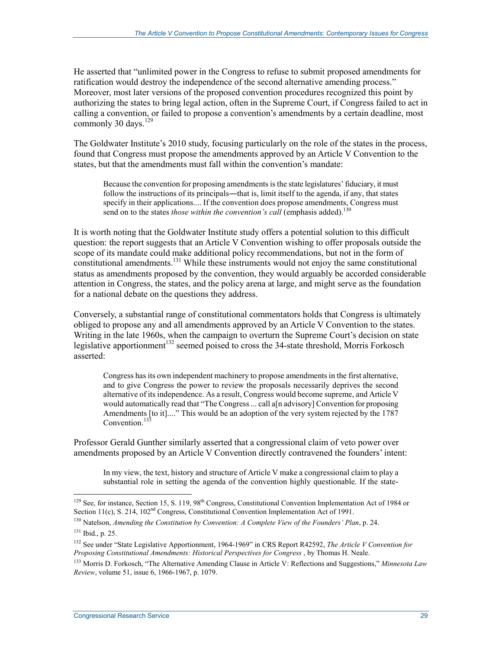He asserted that "unlimited power in the Congress to refuse to submit proposed amendments for ratification would destroy the independence of the second alternative amending process." Moreover, most later versions of the proposed convention procedures recognized this point by authorizing the states to bring legal action, often in the Supreme Court, if Congress failed to act in calling a convention, or failed to propose a convention's amendments by a certain deadline, most commonly 30 days.<sup>129</sup>

The Goldwater Institute's 2010 study, focusing particularly on the role of the states in the process, found that Congress must propose the amendments approved by an Article V Convention to the states, but that the amendments must fall within the convention's mandate:

Because the convention for proposing amendments is the state legislatures' fiduciary, it must follow the instructions of its principals—that is, limit itself to the agenda, if any, that states specify in their applications.... If the convention does propose amendments, Congress must send on to the states *those within the convention's call* (emphasis added).<sup>130</sup>

It is worth noting that the Goldwater Institute study offers a potential solution to this difficult question: the report suggests that an Article V Convention wishing to offer proposals outside the scope of its mandate could make additional policy recommendations, but not in the form of constitutional amendments.<sup>131</sup> While these instruments would not enjoy the same constitutional status as amendments proposed by the convention, they would arguably be accorded considerable attention in Congress, the states, and the policy arena at large, and might serve as the foundation for a national debate on the questions they address.

Conversely, a substantial range of constitutional commentators holds that Congress is ultimately obliged to propose any and all amendments approved by an Article V Convention to the states. Writing in the late 1960s, when the campaign to overturn the Supreme Court's decision on state legislative apportionment<sup>132</sup> seemed poised to cross the 34-state threshold, Morris Forkosch asserted:

Congress has its own independent machinery to propose amendments in the first alternative, and to give Congress the power to review the proposals necessarily deprives the second alternative of its independence. As a result, Congress would become supreme, and Article V would automatically read that "The Congress ... call a[n advisory] Convention for proposing Amendments [to it]...." This would be an adoption of the very system rejected by the 1787 Convention<sup>13</sup>

Professor Gerald Gunther similarly asserted that a congressional claim of veto power over amendments proposed by an Article V Convention directly contravened the founders' intent:

In my view, the text, history and structure of Article V make a congressional claim to play a substantial role in setting the agenda of the convention highly questionable. If the state-

<sup>&</sup>lt;sup>129</sup> See, for instance, Section 15, S. 119, 98<sup>th</sup> Congress, Constitutional Convention Implementation Act of 1984 or Section 11(c), S. 214, 102<sup>nd</sup> Congress, Constitutional Convention Implementation Act of 1991.

<sup>130</sup> Natelson, *Amending the Constitution by Convention: A Complete View of the Founders' Plan*, p. 24.

<sup>131</sup> Ibid., p. 25.

<sup>132</sup> See under "State Legislative Apportionment, 1964-1969" in CRS Report R42592, *The Article V Convention for Proposing Constitutional Amendments: Historical Perspectives for Congress* , by Thomas H. Neale.

<sup>133</sup> Morris D. Forkosch, "The Alternative Amending Clause in Article V: Reflections and Suggestions," *Minnesota Law Review*, volume 51, issue 6, 1966-1967, p. 1079.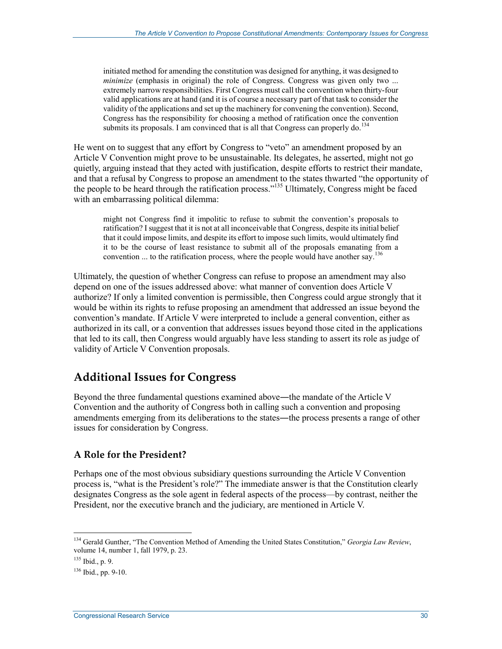initiated method for amending the constitution was designed for anything, it was designed to *minimize* (emphasis in original) the role of Congress. Congress was given only two ... extremely narrow responsibilities. First Congress must call the convention when thirty-four valid applications are at hand (and it is of course a necessary part of that task to consider the validity of the applications and set up the machinery for convening the convention). Second, Congress has the responsibility for choosing a method of ratification once the convention submits its proposals. I am convinced that is all that Congress can properly do.<sup>134</sup>

He went on to suggest that any effort by Congress to "veto" an amendment proposed by an Article V Convention might prove to be unsustainable. Its delegates, he asserted, might not go quietly, arguing instead that they acted with justification, despite efforts to restrict their mandate, and that a refusal by Congress to propose an amendment to the states thwarted "the opportunity of the people to be heard through the ratification process."<sup>135</sup> Ultimately, Congress might be faced with an embarrassing political dilemma:

might not Congress find it impolitic to refuse to submit the convention's proposals to ratification? I suggest that it is not at all inconceivable that Congress, despite its initial belief that it could impose limits, and despite its effort to impose such limits, would ultimately find it to be the course of least resistance to submit all of the proposals emanating from a convention ... to the ratification process, where the people would have another say.<sup>136</sup>

Ultimately, the question of whether Congress can refuse to propose an amendment may also depend on one of the issues addressed above: what manner of convention does Article V authorize? If only a limited convention is permissible, then Congress could argue strongly that it would be within its rights to refuse proposing an amendment that addressed an issue beyond the convention's mandate. If Article V were interpreted to include a general convention, either as authorized in its call, or a convention that addresses issues beyond those cited in the applications that led to its call, then Congress would arguably have less standing to assert its role as judge of validity of Article V Convention proposals.

## **Additional Issues for Congress**

Beyond the three fundamental questions examined above—the mandate of the Article V Convention and the authority of Congress both in calling such a convention and proposing amendments emerging from its deliberations to the states―the process presents a range of other issues for consideration by Congress.

#### **A Role for the President?**

Perhaps one of the most obvious subsidiary questions surrounding the Article V Convention process is, "what is the President's role?" The immediate answer is that the Constitution clearly designates Congress as the sole agent in federal aspects of the process—by contrast, neither the President, nor the executive branch and the judiciary, are mentioned in Article V.

<sup>134</sup> Gerald Gunther, "The Convention Method of Amending the United States Constitution," *Georgia Law Review*, volume 14, number 1, fall 1979, p. 23.

<sup>135</sup> Ibid., p. 9.

 $136$  Ibid., pp. 9-10.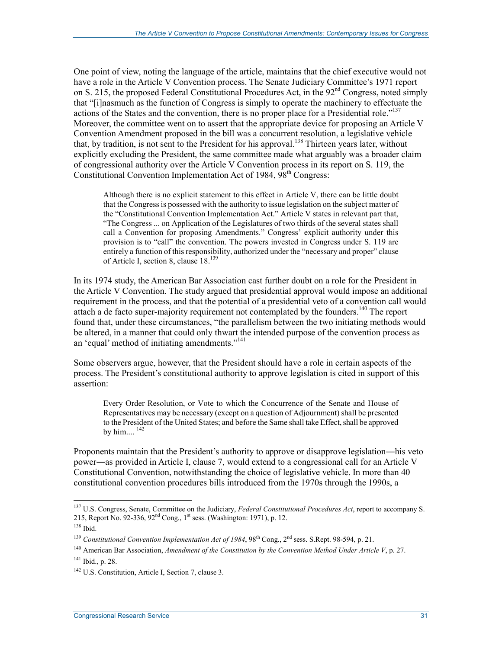One point of view, noting the language of the article, maintains that the chief executive would not have a role in the Article V Convention process. The Senate Judiciary Committee's 1971 report on S. 215, the proposed Federal Constitutional Procedures Act, in the 92<sup>nd</sup> Congress, noted simply that "[i]nasmuch as the function of Congress is simply to operate the machinery to effectuate the actions of the States and the convention, there is no proper place for a Presidential role." $137$ Moreover, the committee went on to assert that the appropriate device for proposing an Article V Convention Amendment proposed in the bill was a concurrent resolution, a legislative vehicle that, by tradition, is not sent to the President for his approval.<sup>138</sup> Thirteen years later, without explicitly excluding the President, the same committee made what arguably was a broader claim of congressional authority over the Article V Convention process in its report on S. 119, the Constitutional Convention Implementation Act of 1984, 98<sup>th</sup> Congress:

Although there is no explicit statement to this effect in Article V, there can be little doubt that the Congress is possessed with the authority to issue legislation on the subject matter of the "Constitutional Convention Implementation Act." Article V states in relevant part that, "The Congress ... on Application of the Legislatures of two thirds of the several states shall call a Convention for proposing Amendments." Congress' explicit authority under this provision is to "call" the convention. The powers invested in Congress under S. 119 are entirely a function of this responsibility, authorized under the "necessary and proper" clause of Article I, section 8, clause 18.<sup>139</sup>

In its 1974 study, the American Bar Association cast further doubt on a role for the President in the Article V Convention. The study argued that presidential approval would impose an additional requirement in the process, and that the potential of a presidential veto of a convention call would attach a de facto super-majority requirement not contemplated by the founders.<sup>140</sup> The report found that, under these circumstances, "the parallelism between the two initiating methods would be altered, in a manner that could only thwart the intended purpose of the convention process as an 'equal' method of initiating amendments."<sup>141</sup>

Some observers argue, however, that the President should have a role in certain aspects of the process. The President's constitutional authority to approve legislation is cited in support of this assertion:

Every Order Resolution, or Vote to which the Concurrence of the Senate and House of Representatives may be necessary (except on a question of Adjournment) shall be presented to the President of the United States; and before the Same shall take Effect, shall be approved by him....  $^{142}$ 

Proponents maintain that the President's authority to approve or disapprove legislation―his veto power―as provided in Article I, clause 7, would extend to a congressional call for an Article V Constitutional Convention, notwithstanding the choice of legislative vehicle. In more than 40 constitutional convention procedures bills introduced from the 1970s through the 1990s, a

<sup>137</sup> U.S. Congress, Senate, Committee on the Judiciary, *Federal Constitutional Procedures Act*, report to accompany S. 215, Report No. 92-336, 92<sup>nd</sup> Cong., 1<sup>st</sup> sess. (Washington: 1971), p. 12.

<sup>138</sup> Ibid.

<sup>&</sup>lt;sup>139</sup> *Constitutional Convention Implementation Act of 1984*, 98<sup>th</sup> Cong., 2<sup>nd</sup> sess. S.Rept. 98-594, p. 21.

<sup>140</sup> American Bar Association, *Amendment of the Constitution by the Convention Method Under Article V*, p. 27. 141 Ibid., p. 28.

<sup>142</sup> U.S. Constitution, Article I, Section 7, clause 3.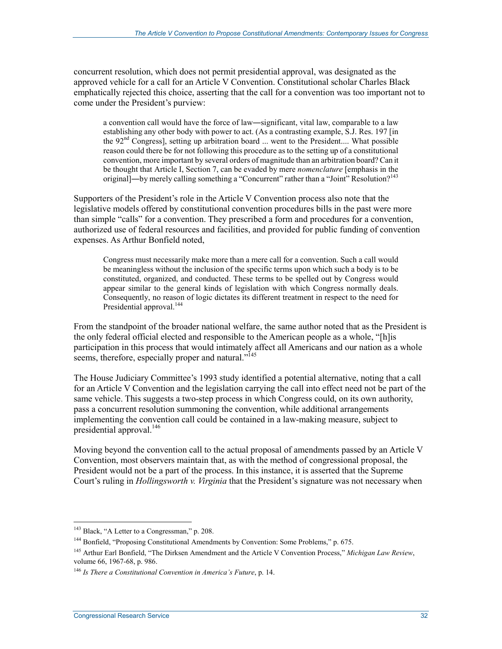concurrent resolution, which does not permit presidential approval, was designated as the approved vehicle for a call for an Article V Convention. Constitutional scholar Charles Black emphatically rejected this choice, asserting that the call for a convention was too important not to come under the President's purview:

a convention call would have the force of law―significant, vital law, comparable to a law establishing any other body with power to act. (As a contrasting example, S.J. Res. 197 [in the  $92<sup>nd</sup>$  Congress), setting up arbitration board ... went to the President.... What possible reason could there be for not following this procedure as to the setting up of a constitutional convention, more important by several orders of magnitude than an arbitration board? Can it be thought that Article I, Section 7, can be evaded by mere *nomenclature* [emphasis in the original]—by merely calling something a "Concurrent" rather than a "Joint" Resolution?<sup>143</sup>

Supporters of the President's role in the Article V Convention process also note that the legislative models offered by constitutional convention procedures bills in the past were more than simple "calls" for a convention. They prescribed a form and procedures for a convention, authorized use of federal resources and facilities, and provided for public funding of convention expenses. As Arthur Bonfield noted,

Congress must necessarily make more than a mere call for a convention. Such a call would be meaningless without the inclusion of the specific terms upon which such a body is to be constituted, organized, and conducted. These terms to be spelled out by Congress would appear similar to the general kinds of legislation with which Congress normally deals. Consequently, no reason of logic dictates its different treatment in respect to the need for Presidential approval.<sup>144</sup>

From the standpoint of the broader national welfare, the same author noted that as the President is the only federal official elected and responsible to the American people as a whole, "[h]is participation in this process that would intimately affect all Americans and our nation as a whole seems, therefore, especially proper and natural."<sup>145</sup>

The House Judiciary Committee's 1993 study identified a potential alternative, noting that a call for an Article V Convention and the legislation carrying the call into effect need not be part of the same vehicle. This suggests a two-step process in which Congress could, on its own authority, pass a concurrent resolution summoning the convention, while additional arrangements implementing the convention call could be contained in a law-making measure, subject to presidential approval.<sup>146</sup>

Moving beyond the convention call to the actual proposal of amendments passed by an Article V Convention, most observers maintain that, as with the method of congressional proposal, the President would not be a part of the process. In this instance, it is asserted that the Supreme Court's ruling in *Hollingsworth v. Virginia* that the President's signature was not necessary when

<sup>&</sup>lt;sup>143</sup> Black, "A Letter to a Congressman," p. 208.

<sup>&</sup>lt;sup>144</sup> Bonfield, "Proposing Constitutional Amendments by Convention: Some Problems," p. 675.

<sup>145</sup> Arthur Earl Bonfield, "The Dirksen Amendment and the Article V Convention Process," *Michigan Law Review*, volume 66, 1967-68, p. 986.

<sup>146</sup> *Is There a Constitutional Convention in America's Future*, p. 14.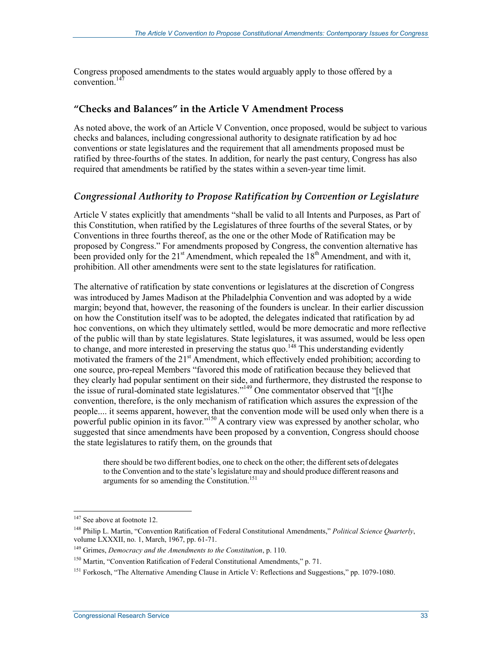Congress proposed amendments to the states would arguably apply to those offered by a convention. $147$ 

#### **"Checks and Balances" in the Article V Amendment Process**

As noted above, the work of an Article V Convention, once proposed, would be subject to various checks and balances, including congressional authority to designate ratification by ad hoc conventions or state legislatures and the requirement that all amendments proposed must be ratified by three-fourths of the states. In addition, for nearly the past century, Congress has also required that amendments be ratified by the states within a seven-year time limit.

#### *Congressional Authority to Propose Ratification by Convention or Legislature*

Article V states explicitly that amendments "shall be valid to all Intents and Purposes, as Part of this Constitution, when ratified by the Legislatures of three fourths of the several States, or by Conventions in three fourths thereof, as the one or the other Mode of Ratification may be proposed by Congress." For amendments proposed by Congress, the convention alternative has been provided only for the  $21<sup>st</sup>$  Amendment, which repealed the  $18<sup>th</sup>$  Amendment, and with it, prohibition. All other amendments were sent to the state legislatures for ratification.

The alternative of ratification by state conventions or legislatures at the discretion of Congress was introduced by James Madison at the Philadelphia Convention and was adopted by a wide margin; beyond that, however, the reasoning of the founders is unclear. In their earlier discussion on how the Constitution itself was to be adopted, the delegates indicated that ratification by ad hoc conventions, on which they ultimately settled, would be more democratic and more reflective of the public will than by state legislatures. State legislatures, it was assumed, would be less open to change, and more interested in preserving the status quo.<sup>148</sup> This understanding evidently motivated the framers of the 21<sup>st</sup> Amendment, which effectively ended prohibition; according to one source, pro-repeal Members "favored this mode of ratification because they believed that they clearly had popular sentiment on their side, and furthermore, they distrusted the response to the issue of rural-dominated state legislatures."<sup>149</sup> One commentator observed that "[t]he convention, therefore, is the only mechanism of ratification which assures the expression of the people.... it seems apparent, however, that the convention mode will be used only when there is a powerful public opinion in its favor."<sup>150</sup> A contrary view was expressed by another scholar, who suggested that since amendments have been proposed by a convention, Congress should choose the state legislatures to ratify them, on the grounds that

there should be two different bodies, one to check on the other; the different sets of delegates to the Convention and to the state's legislature may and should produce different reasons and arguments for so amending the Constitution.151

<sup>1</sup> <sup>147</sup> See above at footnote 12.

<sup>148</sup> Philip L. Martin, "Convention Ratification of Federal Constitutional Amendments," *Political Science Quarterly*, volume LXXXII, no. 1, March, 1967, pp. 61-71.

<sup>149</sup> Grimes, *Democracy and the Amendments to the Constitution*, p. 110.

<sup>&</sup>lt;sup>150</sup> Martin, "Convention Ratification of Federal Constitutional Amendments," p. 71.

<sup>151</sup> Forkosch, "The Alternative Amending Clause in Article V: Reflections and Suggestions," pp. 1079-1080.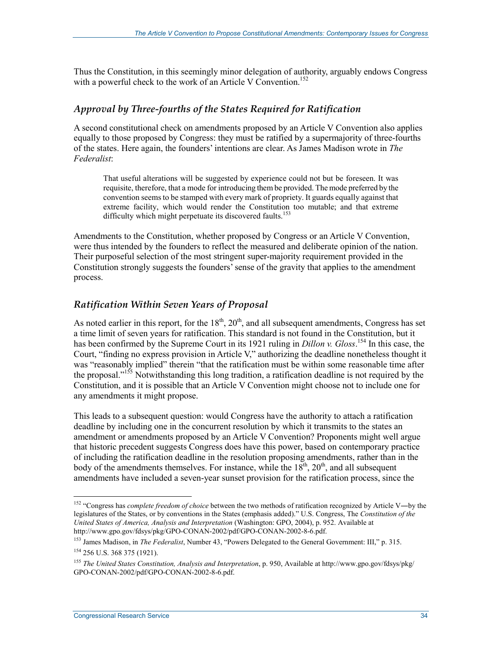Thus the Constitution, in this seemingly minor delegation of authority, arguably endows Congress with a powerful check to the work of an Article V Convention.<sup>152</sup>

#### *Approval by Three-fourths of the States Required for Ratification*

A second constitutional check on amendments proposed by an Article V Convention also applies equally to those proposed by Congress: they must be ratified by a supermajority of three-fourths of the states. Here again, the founders' intentions are clear. As James Madison wrote in *The Federalist*:

That useful alterations will be suggested by experience could not but be foreseen. It was requisite, therefore, that a mode for introducing them be provided. The mode preferred by the convention seems to be stamped with every mark of propriety. It guards equally against that extreme facility, which would render the Constitution too mutable; and that extreme difficulty which might perpetuate its discovered faults.<sup>153</sup>

Amendments to the Constitution, whether proposed by Congress or an Article V Convention, were thus intended by the founders to reflect the measured and deliberate opinion of the nation. Their purposeful selection of the most stringent super-majority requirement provided in the Constitution strongly suggests the founders' sense of the gravity that applies to the amendment process.

#### *Ratification Within Seven Years of Proposal*

As noted earlier in this report, for the  $18<sup>th</sup>$ ,  $20<sup>th</sup>$ , and all subsequent amendments, Congress has set a time limit of seven years for ratification. This standard is not found in the Constitution, but it has been confirmed by the Supreme Court in its 1921 ruling in *Dillon v. Gloss*. 154 In this case, the Court, "finding no express provision in Article V," authorizing the deadline nonetheless thought it was "reasonably implied" therein "that the ratification must be within some reasonable time after the proposal."<sup>155</sup> Notwithstanding this long tradition, a ratification deadline is not required by the Constitution, and it is possible that an Article V Convention might choose not to include one for any amendments it might propose.

This leads to a subsequent question: would Congress have the authority to attach a ratification deadline by including one in the concurrent resolution by which it transmits to the states an amendment or amendments proposed by an Article V Convention? Proponents might well argue that historic precedent suggests Congress does have this power, based on contemporary practice of including the ratification deadline in the resolution proposing amendments, rather than in the body of the amendments themselves. For instance, while the  $18<sup>th</sup>$ ,  $20<sup>th</sup>$ , and all subsequent amendments have included a seven-year sunset provision for the ratification process, since the

<sup>1</sup> <sup>152</sup> "Congress has *complete freedom of choice* between the two methods of ratification recognized by Article V—by the legislatures of the States, or by conventions in the States (emphasis added)." U.S. Congress, The *Constitution of the United States of America, Analysis and Interpretation* (Washington: GPO, 2004), p. 952. Available at http://www.gpo.gov/fdsys/pkg/GPO-CONAN-2002/pdf/GPO-CONAN-2002-8-6.pdf.

<sup>153</sup> James Madison, in *The Federalist*, Number 43, "Powers Delegated to the General Government: III," p. 315.

<sup>154 256</sup> U.S. 368 375 (1921).

<sup>155</sup> *The United States Constitution, Analysis and Interpretation*, p. 950, Available at http://www.gpo.gov/fdsys/pkg/ GPO-CONAN-2002/pdf/GPO-CONAN-2002-8-6.pdf.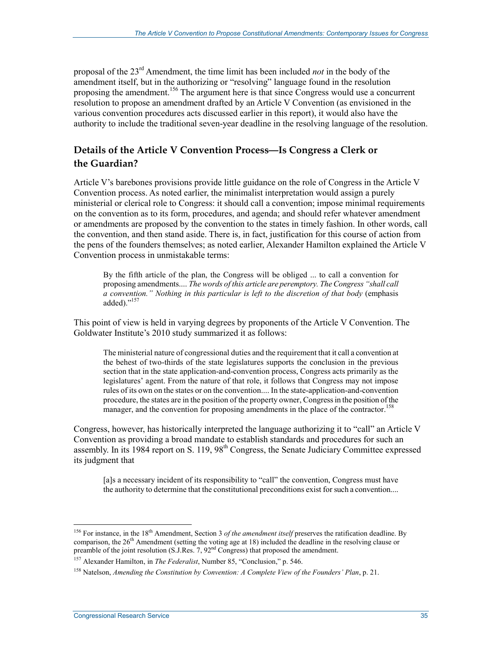proposal of the 23rd Amendment, the time limit has been included *not* in the body of the amendment itself, but in the authorizing or "resolving" language found in the resolution proposing the amendment.156 The argument here is that since Congress would use a concurrent resolution to propose an amendment drafted by an Article V Convention (as envisioned in the various convention procedures acts discussed earlier in this report), it would also have the authority to include the traditional seven-year deadline in the resolving language of the resolution.

#### **Details of the Article V Convention Process―Is Congress a Clerk or the Guardian?**

Article V's barebones provisions provide little guidance on the role of Congress in the Article V Convention process. As noted earlier, the minimalist interpretation would assign a purely ministerial or clerical role to Congress: it should call a convention; impose minimal requirements on the convention as to its form, procedures, and agenda; and should refer whatever amendment or amendments are proposed by the convention to the states in timely fashion. In other words, call the convention, and then stand aside. There is, in fact, justification for this course of action from the pens of the founders themselves; as noted earlier, Alexander Hamilton explained the Article V Convention process in unmistakable terms:

By the fifth article of the plan, the Congress will be obliged ... to call a convention for proposing amendments.... *The words of this article are peremptory. The Congress "shall call a convention." Nothing in this particular is left to the discretion of that body* (emphasis added)."<sup>157</sup>

This point of view is held in varying degrees by proponents of the Article V Convention. The Goldwater Institute's 2010 study summarized it as follows:

The ministerial nature of congressional duties and the requirement that it call a convention at the behest of two-thirds of the state legislatures supports the conclusion in the previous section that in the state application-and-convention process, Congress acts primarily as the legislatures' agent. From the nature of that role, it follows that Congress may not impose rules of its own on the states or on the convention.... In the state-application-and-convention procedure, the states are in the position of the property owner, Congress in the position of the manager, and the convention for proposing amendments in the place of the contractor.<sup>158</sup>

Congress, however, has historically interpreted the language authorizing it to "call" an Article V Convention as providing a broad mandate to establish standards and procedures for such an assembly. In its 1984 report on S. 119, 98<sup>th</sup> Congress, the Senate Judiciary Committee expressed its judgment that

[a]s a necessary incident of its responsibility to "call" the convention, Congress must have the authority to determine that the constitutional preconditions exist for such a convention....

<sup>&</sup>lt;sup>156</sup> For instance, in the 18<sup>th</sup> Amendment, Section 3 *of the amendment itself* preserves the ratification deadline. By comparison, the  $26<sup>th</sup>$  Amendment (setting the voting age at 18) included the deadline in the resolving clause or preamble of the joint resolution (S.J.Res. 7, 92<sup>nd</sup> Congress) that proposed the amendment.

<sup>157</sup> Alexander Hamilton, in *The Federalist*, Number 85, "Conclusion," p. 546.

<sup>158</sup> Natelson, *Amending the Constitution by Convention: A Complete View of the Founders' Plan*, p. 21.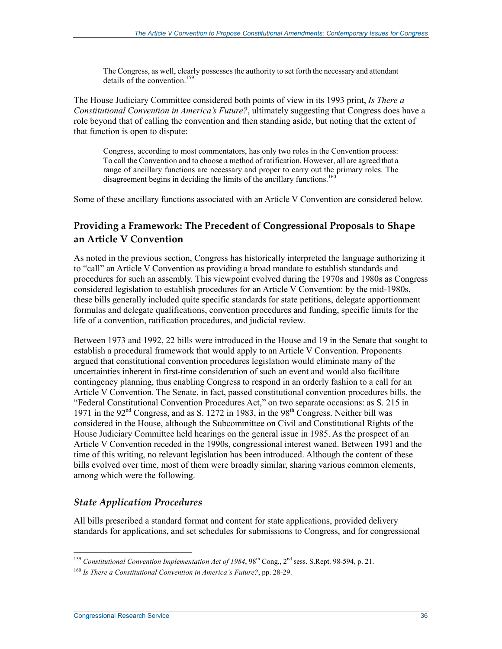The Congress, as well, clearly possesses the authority to set forth the necessary and attendant details of the convention.<sup>159</sup>

The House Judiciary Committee considered both points of view in its 1993 print, *Is There a Constitutional Convention in America's Future?*, ultimately suggesting that Congress does have a role beyond that of calling the convention and then standing aside, but noting that the extent of that function is open to dispute:

Congress, according to most commentators, has only two roles in the Convention process: To call the Convention and to choose a method of ratification. However, all are agreed that a range of ancillary functions are necessary and proper to carry out the primary roles. The disagreement begins in deciding the limits of the ancillary functions.<sup>16</sup>

Some of these ancillary functions associated with an Article V Convention are considered below.

#### **Providing a Framework: The Precedent of Congressional Proposals to Shape an Article V Convention**

As noted in the previous section, Congress has historically interpreted the language authorizing it to "call" an Article V Convention as providing a broad mandate to establish standards and procedures for such an assembly. This viewpoint evolved during the 1970s and 1980s as Congress considered legislation to establish procedures for an Article V Convention: by the mid-1980s, these bills generally included quite specific standards for state petitions, delegate apportionment formulas and delegate qualifications, convention procedures and funding, specific limits for the life of a convention, ratification procedures, and judicial review.

Between 1973 and 1992, 22 bills were introduced in the House and 19 in the Senate that sought to establish a procedural framework that would apply to an Article V Convention. Proponents argued that constitutional convention procedures legislation would eliminate many of the uncertainties inherent in first-time consideration of such an event and would also facilitate contingency planning, thus enabling Congress to respond in an orderly fashion to a call for an Article V Convention. The Senate, in fact, passed constitutional convention procedures bills, the "Federal Constitutional Convention Procedures Act," on two separate occasions: as S. 215 in 1971 in the 92<sup>nd</sup> Congress, and as S. 1272 in 1983, in the 98<sup>th</sup> Congress. Neither bill was considered in the House, although the Subcommittee on Civil and Constitutional Rights of the House Judiciary Committee held hearings on the general issue in 1985. As the prospect of an Article V Convention receded in the 1990s, congressional interest waned. Between 1991 and the time of this writing, no relevant legislation has been introduced. Although the content of these bills evolved over time, most of them were broadly similar, sharing various common elements, among which were the following.

#### *State Application Procedures*

All bills prescribed a standard format and content for state applications, provided delivery standards for applications, and set schedules for submissions to Congress, and for congressional

<sup>1</sup> <sup>159</sup> *Constitutional Convention Implementation Act of 1984*, 98<sup>th</sup> Cong., 2<sup>nd</sup> sess. S.Rept. 98-594, p. 21.

<sup>160</sup> *Is There a Constitutional Convention in America's Future?*, pp. 28-29.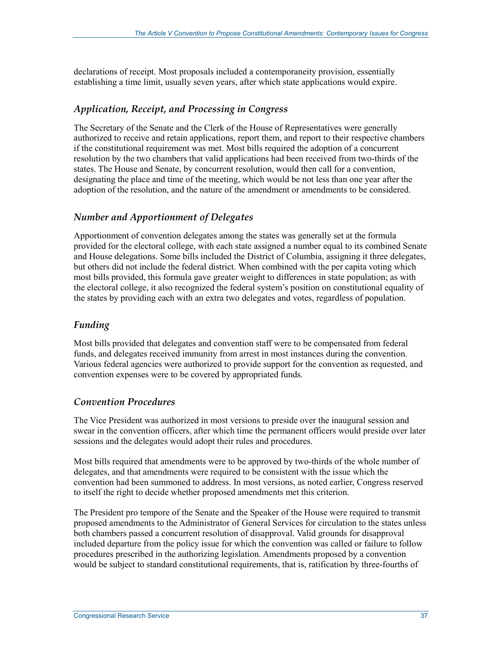declarations of receipt. Most proposals included a contemporaneity provision, essentially establishing a time limit, usually seven years, after which state applications would expire.

#### *Application, Receipt, and Processing in Congress*

The Secretary of the Senate and the Clerk of the House of Representatives were generally authorized to receive and retain applications, report them, and report to their respective chambers if the constitutional requirement was met. Most bills required the adoption of a concurrent resolution by the two chambers that valid applications had been received from two-thirds of the states. The House and Senate, by concurrent resolution, would then call for a convention, designating the place and time of the meeting, which would be not less than one year after the adoption of the resolution, and the nature of the amendment or amendments to be considered.

#### *Number and Apportionment of Delegates*

Apportionment of convention delegates among the states was generally set at the formula provided for the electoral college, with each state assigned a number equal to its combined Senate and House delegations. Some bills included the District of Columbia, assigning it three delegates, but others did not include the federal district. When combined with the per capita voting which most bills provided, this formula gave greater weight to differences in state population; as with the electoral college, it also recognized the federal system's position on constitutional equality of the states by providing each with an extra two delegates and votes, regardless of population.

#### *Funding*

Most bills provided that delegates and convention staff were to be compensated from federal funds, and delegates received immunity from arrest in most instances during the convention. Various federal agencies were authorized to provide support for the convention as requested, and convention expenses were to be covered by appropriated funds.

#### *Convention Procedures*

The Vice President was authorized in most versions to preside over the inaugural session and swear in the convention officers, after which time the permanent officers would preside over later sessions and the delegates would adopt their rules and procedures.

Most bills required that amendments were to be approved by two-thirds of the whole number of delegates, and that amendments were required to be consistent with the issue which the convention had been summoned to address. In most versions, as noted earlier, Congress reserved to itself the right to decide whether proposed amendments met this criterion.

The President pro tempore of the Senate and the Speaker of the House were required to transmit proposed amendments to the Administrator of General Services for circulation to the states unless both chambers passed a concurrent resolution of disapproval. Valid grounds for disapproval included departure from the policy issue for which the convention was called or failure to follow procedures prescribed in the authorizing legislation. Amendments proposed by a convention would be subject to standard constitutional requirements, that is, ratification by three-fourths of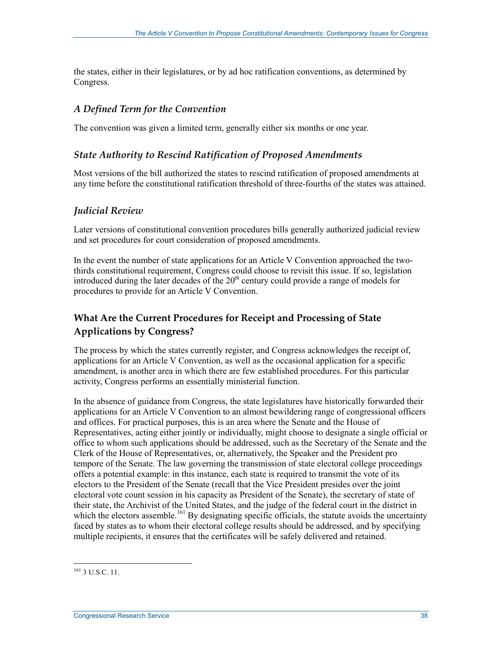the states, either in their legislatures, or by ad hoc ratification conventions, as determined by Congress.

#### *A Defined Term for the Convention*

The convention was given a limited term, generally either six months or one year.

#### *State Authority to Rescind Ratification of Proposed Amendments*

Most versions of the bill authorized the states to rescind ratification of proposed amendments at any time before the constitutional ratification threshold of three-fourths of the states was attained.

#### *Judicial Review*

Later versions of constitutional convention procedures bills generally authorized judicial review and set procedures for court consideration of proposed amendments.

In the event the number of state applications for an Article V Convention approached the twothirds constitutional requirement, Congress could choose to revisit this issue. If so, legislation introduced during the later decades of the  $20<sup>th</sup>$  century could provide a range of models for procedures to provide for an Article V Convention.

#### **What Are the Current Procedures for Receipt and Processing of State Applications by Congress?**

The process by which the states currently register, and Congress acknowledges the receipt of, applications for an Article V Convention, as well as the occasional application for a specific amendment, is another area in which there are few established procedures. For this particular activity, Congress performs an essentially ministerial function.

In the absence of guidance from Congress, the state legislatures have historically forwarded their applications for an Article V Convention to an almost bewildering range of congressional officers and offices. For practical purposes, this is an area where the Senate and the House of Representatives, acting either jointly or individually, might choose to designate a single official or office to whom such applications should be addressed, such as the Secretary of the Senate and the Clerk of the House of Representatives, or, alternatively, the Speaker and the President pro tempore of the Senate. The law governing the transmission of state electoral college proceedings offers a potential example: in this instance, each state is required to transmit the vote of its electors to the President of the Senate (recall that the Vice President presides over the joint electoral vote count session in his capacity as President of the Senate), the secretary of state of their state, the Archivist of the United States, and the judge of the federal court in the district in which the electors assemble.<sup>161</sup> By designating specific officials, the statute avoids the uncertainty faced by states as to whom their electoral college results should be addressed, and by specifying multiple recipients, it ensures that the certificates will be safely delivered and retained.

<sup>&</sup>lt;u>.</u> <sup>161</sup> 3 U.S.C. 11.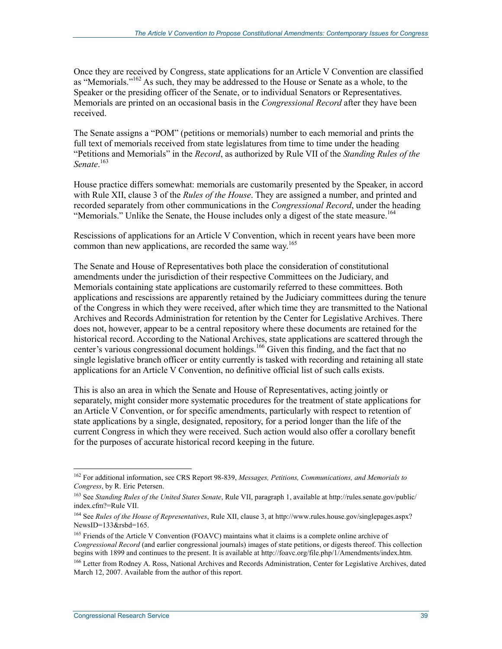Once they are received by Congress, state applications for an Article V Convention are classified as "Memorials."<sup>162</sup> As such, they may be addressed to the House or Senate as a whole, to the Speaker or the presiding officer of the Senate, or to individual Senators or Representatives. Memorials are printed on an occasional basis in the *Congressional Record* after they have been received.

The Senate assigns a "POM" (petitions or memorials) number to each memorial and prints the full text of memorials received from state legislatures from time to time under the heading "Petitions and Memorials" in the *Record*, as authorized by Rule VII of the *Standing Rules of the Senate*. 163

House practice differs somewhat: memorials are customarily presented by the Speaker, in accord with Rule XII, clause 3 of the *Rules of the House*. They are assigned a number, and printed and recorded separately from other communications in the *Congressional Record*, under the heading "Memorials." Unlike the Senate, the House includes only a digest of the state measure.<sup>164</sup>

Rescissions of applications for an Article V Convention, which in recent years have been more common than new applications, are recorded the same way.<sup>165</sup>

The Senate and House of Representatives both place the consideration of constitutional amendments under the jurisdiction of their respective Committees on the Judiciary, and Memorials containing state applications are customarily referred to these committees. Both applications and rescissions are apparently retained by the Judiciary committees during the tenure of the Congress in which they were received, after which time they are transmitted to the National Archives and Records Administration for retention by the Center for Legislative Archives. There does not, however, appear to be a central repository where these documents are retained for the historical record. According to the National Archives, state applications are scattered through the center's various congressional document holdings.<sup>166</sup> Given this finding, and the fact that no single legislative branch officer or entity currently is tasked with recording and retaining all state applications for an Article V Convention, no definitive official list of such calls exists.

This is also an area in which the Senate and House of Representatives, acting jointly or separately, might consider more systematic procedures for the treatment of state applications for an Article V Convention, or for specific amendments, particularly with respect to retention of state applications by a single, designated, repository, for a period longer than the life of the current Congress in which they were received. Such action would also offer a corollary benefit for the purposes of accurate historical record keeping in the future.

<sup>&</sup>lt;u>.</u> 162 For additional information, see CRS Report 98-839, *Messages, Petitions, Communications, and Memorials to Congress*, by R. Eric Petersen.

<sup>163</sup> See *Standing Rules of the United States Senate*, Rule VII, paragraph 1, available at http://rules.senate.gov/public/ index.cfm?=Rule VII.

<sup>164</sup> See *Rules of the House of Representatives*, Rule XII, clause 3, at http://www.rules.house.gov/singlepages.aspx? NewsID= $133\overset{\circ}{\&}$ rsbd= $165$ .

<sup>&</sup>lt;sup>165</sup> Friends of the Article V Convention (FOAVC) maintains what it claims is a complete online archive of *Congressional Record* (and earlier congressional journals) images of state petitions, or digests thereof. This collection begins with 1899 and continues to the present. It is available at http://foavc.org/file.php/1/Amendments/index.htm.

<sup>&</sup>lt;sup>166</sup> Letter from Rodney A. Ross, National Archives and Records Administration, Center for Legislative Archives, dated March 12, 2007. Available from the author of this report.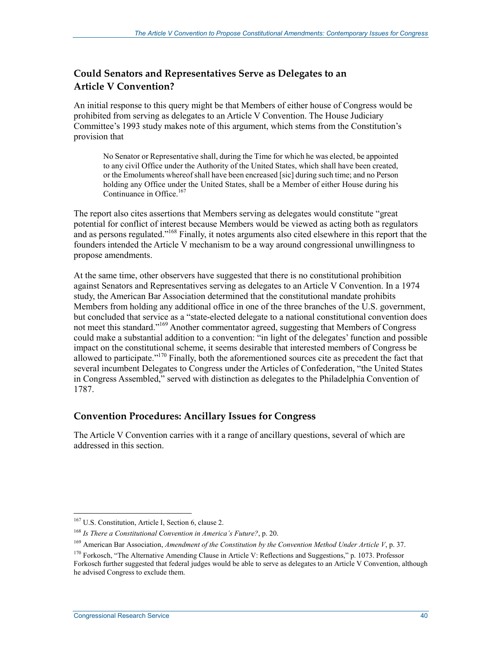#### **Could Senators and Representatives Serve as Delegates to an Article V Convention?**

An initial response to this query might be that Members of either house of Congress would be prohibited from serving as delegates to an Article V Convention. The House Judiciary Committee's 1993 study makes note of this argument, which stems from the Constitution's provision that

No Senator or Representative shall, during the Time for which he was elected, be appointed to any civil Office under the Authority of the United States, which shall have been created, or the Emoluments whereof shall have been encreased [sic] during such time; and no Person holding any Office under the United States, shall be a Member of either House during his Continuance in Office.<sup>167</sup>

The report also cites assertions that Members serving as delegates would constitute "great potential for conflict of interest because Members would be viewed as acting both as regulators and as persons regulated."<sup>168</sup> Finally, it notes arguments also cited elsewhere in this report that the founders intended the Article V mechanism to be a way around congressional unwillingness to propose amendments.

At the same time, other observers have suggested that there is no constitutional prohibition against Senators and Representatives serving as delegates to an Article V Convention. In a 1974 study, the American Bar Association determined that the constitutional mandate prohibits Members from holding any additional office in one of the three branches of the U.S. government, but concluded that service as a "state-elected delegate to a national constitutional convention does not meet this standard."169 Another commentator agreed, suggesting that Members of Congress could make a substantial addition to a convention: "in light of the delegates' function and possible impact on the constitutional scheme, it seems desirable that interested members of Congress be allowed to participate."<sup>170</sup> Finally, both the aforementioned sources cite as precedent the fact that several incumbent Delegates to Congress under the Articles of Confederation, "the United States in Congress Assembled," served with distinction as delegates to the Philadelphia Convention of 1787.

#### **Convention Procedures: Ancillary Issues for Congress**

The Article V Convention carries with it a range of ancillary questions, several of which are addressed in this section.

<sup>&</sup>lt;sup>167</sup> U.S. Constitution, Article I, Section 6, clause 2.

<sup>168</sup> *Is There a Constitutional Convention in America's Future?*, p. 20.

<sup>169</sup> American Bar Association, *Amendment of the Constitution by the Convention Method Under Article V*, p. 37.

<sup>&</sup>lt;sup>170</sup> Forkosch, "The Alternative Amending Clause in Article V: Reflections and Suggestions," p. 1073. Professor Forkosch further suggested that federal judges would be able to serve as delegates to an Article V Convention, although he advised Congress to exclude them.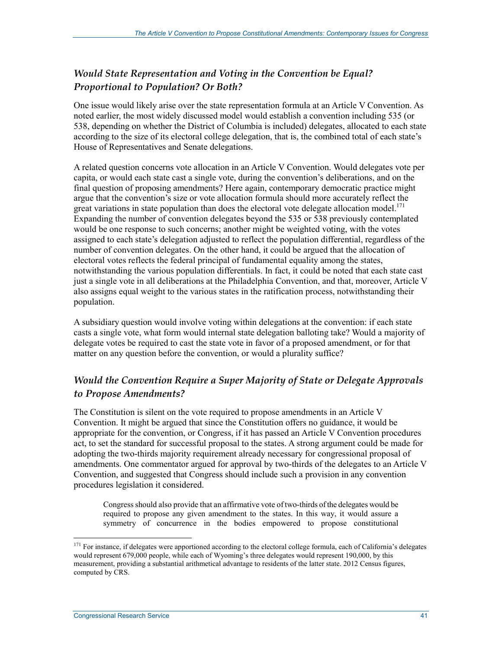#### *Would State Representation and Voting in the Convention be Equal? Proportional to Population? Or Both?*

One issue would likely arise over the state representation formula at an Article V Convention. As noted earlier, the most widely discussed model would establish a convention including 535 (or 538, depending on whether the District of Columbia is included) delegates, allocated to each state according to the size of its electoral college delegation, that is, the combined total of each state's House of Representatives and Senate delegations.

A related question concerns vote allocation in an Article V Convention. Would delegates vote per capita, or would each state cast a single vote, during the convention's deliberations, and on the final question of proposing amendments? Here again, contemporary democratic practice might argue that the convention's size or vote allocation formula should more accurately reflect the great variations in state population than does the electoral vote delegate allocation model.<sup>171</sup> Expanding the number of convention delegates beyond the 535 or 538 previously contemplated would be one response to such concerns; another might be weighted voting, with the votes assigned to each state's delegation adjusted to reflect the population differential, regardless of the number of convention delegates. On the other hand, it could be argued that the allocation of electoral votes reflects the federal principal of fundamental equality among the states, notwithstanding the various population differentials. In fact, it could be noted that each state cast just a single vote in all deliberations at the Philadelphia Convention, and that, moreover, Article V also assigns equal weight to the various states in the ratification process, notwithstanding their population.

A subsidiary question would involve voting within delegations at the convention: if each state casts a single vote, what form would internal state delegation balloting take? Would a majority of delegate votes be required to cast the state vote in favor of a proposed amendment, or for that matter on any question before the convention, or would a plurality suffice?

#### *Would the Convention Require a Super Majority of State or Delegate Approvals to Propose Amendments?*

The Constitution is silent on the vote required to propose amendments in an Article V Convention. It might be argued that since the Constitution offers no guidance, it would be appropriate for the convention, or Congress, if it has passed an Article V Convention procedures act, to set the standard for successful proposal to the states. A strong argument could be made for adopting the two-thirds majority requirement already necessary for congressional proposal of amendments. One commentator argued for approval by two-thirds of the delegates to an Article V Convention, and suggested that Congress should include such a provision in any convention procedures legislation it considered.

Congress should also provide that an affirmative vote of two-thirds of the delegates would be required to propose any given amendment to the states. In this way, it would assure a symmetry of concurrence in the bodies empowered to propose constitutional

 $171$  For instance, if delegates were apportioned according to the electoral college formula, each of California's delegates would represent 679,000 people, while each of Wyoming's three delegates would represent 190,000, by this measurement, providing a substantial arithmetical advantage to residents of the latter state. 2012 Census figures, computed by CRS.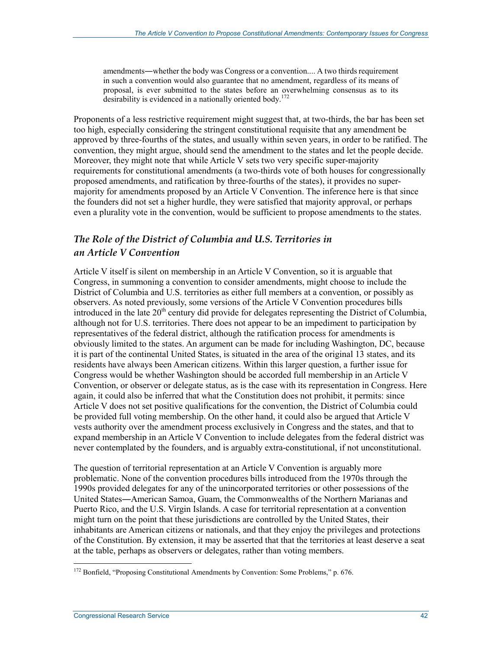amendments―whether the body was Congress or a convention.... A two thirds requirement in such a convention would also guarantee that no amendment, regardless of its means of proposal, is ever submitted to the states before an overwhelming consensus as to its desirability is evidenced in a nationally oriented body.<sup>172</sup>

Proponents of a less restrictive requirement might suggest that, at two-thirds, the bar has been set too high, especially considering the stringent constitutional requisite that any amendment be approved by three-fourths of the states, and usually within seven years, in order to be ratified. The convention, they might argue, should send the amendment to the states and let the people decide. Moreover, they might note that while Article V sets two very specific super-majority requirements for constitutional amendments (a two-thirds vote of both houses for congressionally proposed amendments, and ratification by three-fourths of the states), it provides no supermajority for amendments proposed by an Article V Convention. The inference here is that since the founders did not set a higher hurdle, they were satisfied that majority approval, or perhaps even a plurality vote in the convention, would be sufficient to propose amendments to the states.

#### *The Role of the District of Columbia and U.S. Territories in an Article V Convention*

Article V itself is silent on membership in an Article V Convention, so it is arguable that Congress, in summoning a convention to consider amendments, might choose to include the District of Columbia and U.S. territories as either full members at a convention, or possibly as observers. As noted previously, some versions of the Article V Convention procedures bills introduced in the late  $20<sup>th</sup>$  century did provide for delegates representing the District of Columbia, although not for U.S. territories. There does not appear to be an impediment to participation by representatives of the federal district, although the ratification process for amendments is obviously limited to the states. An argument can be made for including Washington, DC, because it is part of the continental United States, is situated in the area of the original 13 states, and its residents have always been American citizens. Within this larger question, a further issue for Congress would be whether Washington should be accorded full membership in an Article V Convention, or observer or delegate status, as is the case with its representation in Congress. Here again, it could also be inferred that what the Constitution does not prohibit, it permits: since Article V does not set positive qualifications for the convention, the District of Columbia could be provided full voting membership. On the other hand, it could also be argued that Article V vests authority over the amendment process exclusively in Congress and the states, and that to expand membership in an Article V Convention to include delegates from the federal district was never contemplated by the founders, and is arguably extra-constitutional, if not unconstitutional.

The question of territorial representation at an Article V Convention is arguably more problematic. None of the convention procedures bills introduced from the 1970s through the 1990s provided delegates for any of the unincorporated territories or other possessions of the United States―American Samoa, Guam, the Commonwealths of the Northern Marianas and Puerto Rico, and the U.S. Virgin Islands. A case for territorial representation at a convention might turn on the point that these jurisdictions are controlled by the United States, their inhabitants are American citizens or nationals, and that they enjoy the privileges and protections of the Constitution. By extension, it may be asserted that that the territories at least deserve a seat at the table, perhaps as observers or delegates, rather than voting members.

<u>.</u>

<sup>&</sup>lt;sup>172</sup> Bonfield, "Proposing Constitutional Amendments by Convention: Some Problems," p. 676.